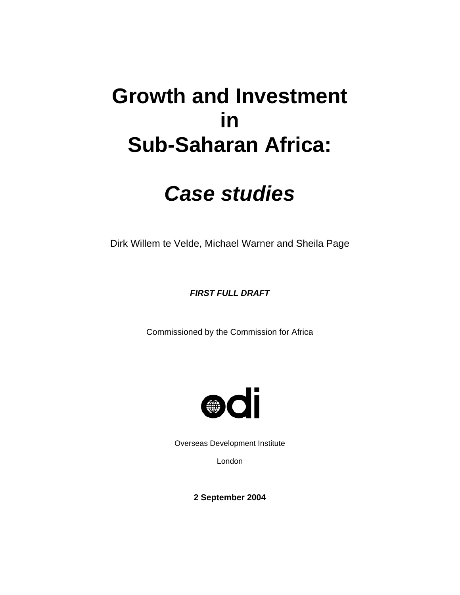# **Growth and Investment in Sub-Saharan Africa:**

# *Case studies*

Dirk Willem te Velde, Michael Warner and Sheila Page

*FIRST FULL DRAFT* 

Commissioned by the Commission for Africa



Overseas Development Institute

London

**2 September 2004**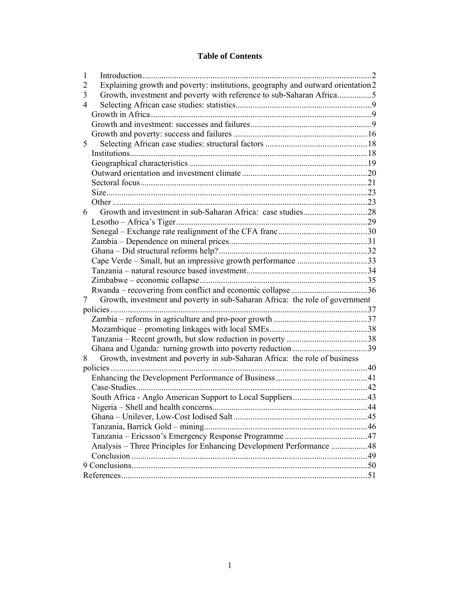### **Table of Contents**

| 1 |                                                                                  | . 2 |
|---|----------------------------------------------------------------------------------|-----|
| 2 | Explaining growth and poverty: institutions, geography and outward orientation 2 |     |
| 3 | Growth, investment and poverty with reference to sub-Saharan Africa5             |     |
| 4 |                                                                                  |     |
|   |                                                                                  |     |
|   |                                                                                  |     |
|   |                                                                                  |     |
| 5 |                                                                                  |     |
|   |                                                                                  |     |
|   |                                                                                  |     |
|   |                                                                                  |     |
|   |                                                                                  |     |
|   |                                                                                  |     |
|   |                                                                                  |     |
| 6 |                                                                                  |     |
|   |                                                                                  |     |
|   |                                                                                  |     |
|   |                                                                                  |     |
|   |                                                                                  |     |
|   | Cape Verde - Small, but an impressive growth performance 33                      |     |
|   |                                                                                  |     |
|   |                                                                                  |     |
|   |                                                                                  |     |
| 7 | Growth, investment and poverty in sub-Saharan Africa: the role of government     |     |
|   |                                                                                  |     |
|   |                                                                                  |     |
|   |                                                                                  |     |
|   |                                                                                  |     |
|   |                                                                                  |     |
| 8 | Growth, investment and poverty in sub-Saharan Africa: the role of business       |     |
|   |                                                                                  |     |
|   |                                                                                  |     |
|   |                                                                                  |     |
|   |                                                                                  |     |
|   |                                                                                  |     |
|   |                                                                                  |     |
|   |                                                                                  |     |
|   |                                                                                  |     |
|   | Analysis - Three Principles for Enhancing Development Performance  48            |     |
|   |                                                                                  |     |
|   |                                                                                  |     |
|   |                                                                                  |     |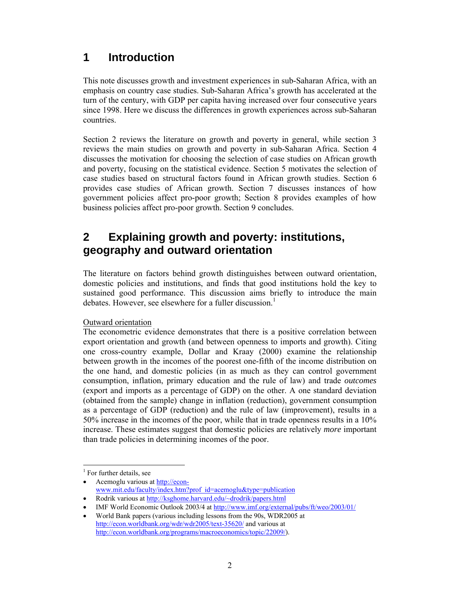# **1 Introduction**

This note discusses growth and investment experiences in sub-Saharan Africa, with an emphasis on country case studies. Sub-Saharan Africa's growth has accelerated at the turn of the century, with GDP per capita having increased over four consecutive years since 1998. Here we discuss the differences in growth experiences across sub-Saharan countries.

Section 2 reviews the literature on growth and poverty in general, while section 3 reviews the main studies on growth and poverty in sub-Saharan Africa. Section 4 discusses the motivation for choosing the selection of case studies on African growth and poverty, focusing on the statistical evidence. Section 5 motivates the selection of case studies based on structural factors found in African growth studies. Section 6 provides case studies of African growth. Section 7 discusses instances of how government policies affect pro-poor growth; Section 8 provides examples of how business policies affect pro-poor growth. Section 9 concludes.

# **2 Explaining growth and poverty: institutions, geography and outward orientation**

The literature on factors behind growth distinguishes between outward orientation, domestic policies and institutions, and finds that good institutions hold the key to sustained good performance. This discussion aims briefly to introduce the main debates. However, see elsewhere for a fuller discussion.<sup>1</sup>

#### Outward orientation

The econometric evidence demonstrates that there is a positive correlation between export orientation and growth (and between openness to imports and growth). Citing one cross-country example, Dollar and Kraay (2000) examine the relationship between growth in the incomes of the poorest one-fifth of the income distribution on the one hand, and domestic policies (in as much as they can control government consumption, inflation, primary education and the rule of law) and trade *outcomes*  (export and imports as a percentage of GDP) on the other. A one standard deviation (obtained from the sample) change in inflation (reduction), government consumption as a percentage of GDP (reduction) and the rule of law (improvement), results in a 50% increase in the incomes of the poor, while that in trade openness results in a 10% increase. These estimates suggest that domestic policies are relatively *more* important than trade policies in determining incomes of the poor.

• Acemoglu various at http://econwww.mit.edu/faculty/index.htm?prof\_id=acemoglu&type=publication

 $\overline{\phantom{a}}$ <sup>1</sup> For further details, see

<sup>•</sup> Rodrik various at http://ksghome.harvard.edu/~drodrik/papers.html

<sup>•</sup> IMF World Economic Outlook 2003/4 at http://www.imf.org/external/pubs/ft/weo/2003/01/

<sup>•</sup> World Bank papers (various including lessons from the 90s, WDR2005 at http://econ.worldbank.org/wdr/wdr2005/text-35620/ and various at http://econ.worldbank.org/programs/macroeconomics/topic/22009/).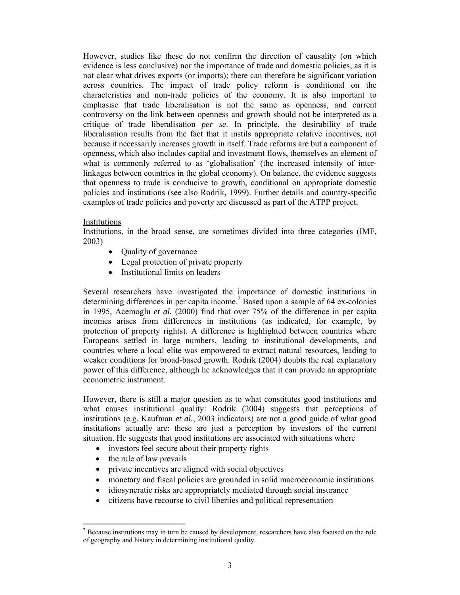However, studies like these do not confirm the direction of causality (on which evidence is less conclusive) nor the importance of trade and domestic policies, as it is not clear what drives exports (or imports); there can therefore be significant variation across countries. The impact of trade policy reform is conditional on the characteristics and non-trade policies of the economy. It is also important to emphasise that trade liberalisation is not the same as openness, and current controversy on the link between openness and growth should not be interpreted as a critique of trade liberalisation *per se*. In principle, the desirability of trade liberalisation results from the fact that it instils appropriate relative incentives, not because it necessarily increases growth in itself. Trade reforms are but a component of openness, which also includes capital and investment flows, themselves an element of what is commonly referred to as 'globalisation' (the increased intensity of interlinkages between countries in the global economy). On balance, the evidence suggests that openness to trade is conducive to growth, conditional on appropriate domestic policies and institutions (see also Rodrik, 1999). Further details and country-specific examples of trade policies and poverty are discussed as part of the ATPP project.

#### Institutions

Institutions, in the broad sense, are sometimes divided into three categories (IMF, 2003)

- Quality of governance
- Legal protection of private property
- Institutional limits on leaders

Several researchers have investigated the importance of domestic institutions in determining differences in per capita income.<sup>2</sup> Based upon a sample of 64 ex-colonies in 1995, Acemoglu *et al.* (2000) find that over 75% of the difference in per capita incomes arises from differences in institutions (as indicated, for example, by protection of property rights). A difference is highlighted between countries where Europeans settled in large numbers, leading to institutional developments, and countries where a local elite was empowered to extract natural resources, leading to weaker conditions for broad-based growth. Rodrik (2004) doubts the real explanatory power of this difference, although he acknowledges that it can provide an appropriate econometric instrument.

However, there is still a major question as to what constitutes good institutions and what causes institutional quality: Rodrik (2004) suggests that perceptions of institutions (e.g. Kaufman *et al.*, 2003 indicators) are not a good guide of what good institutions actually are: these are just a perception by investors of the current situation. He suggests that good institutions are associated with situations where

- investors feel secure about their property rights
- the rule of law prevails
- private incentives are aligned with social objectives
- monetary and fiscal policies are grounded in solid macroeconomic institutions
- idiosyncratic risks are appropriately mediated through social insurance
- citizens have recourse to civil liberties and political representation

 $\overline{\phantom{a}}$  $2^{2}$  Because institutions may in turn be caused by development, researchers have also focused on the role of geography and history in determining institutional quality.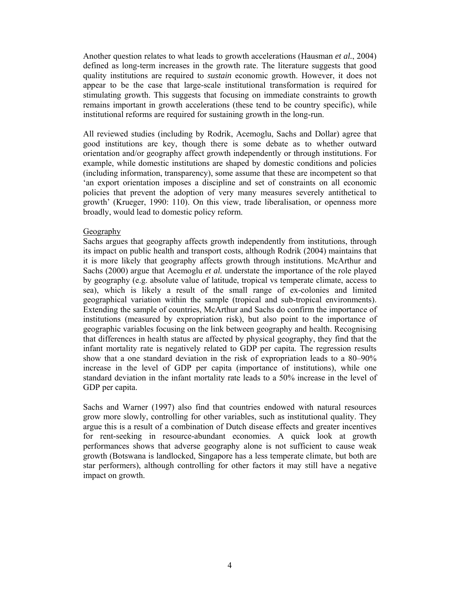Another question relates to what leads to growth accelerations (Hausman *et al.*, 2004) defined as long-term increases in the growth rate. The literature suggests that good quality institutions are required to *sustain* economic growth. However, it does not appear to be the case that large-scale institutional transformation is required for stimulating growth. This suggests that focusing on immediate constraints to growth remains important in growth accelerations (these tend to be country specific), while institutional reforms are required for sustaining growth in the long-run.

All reviewed studies (including by Rodrik, Acemoglu, Sachs and Dollar) agree that good institutions are key, though there is some debate as to whether outward orientation and/or geography affect growth independently or through institutions. For example, while domestic institutions are shaped by domestic conditions and policies (including information, transparency), some assume that these are incompetent so that 'an export orientation imposes a discipline and set of constraints on all economic policies that prevent the adoption of very many measures severely antithetical to growth' (Krueger, 1990: 110). On this view, trade liberalisation, or openness more broadly, would lead to domestic policy reform.

#### Geography

Sachs argues that geography affects growth independently from institutions, through its impact on public health and transport costs, although Rodrik (2004) maintains that it is more likely that geography affects growth through institutions. McArthur and Sachs (2000) argue that Acemoglu *et al.* understate the importance of the role played by geography (e.g. absolute value of latitude, tropical vs temperate climate, access to sea), which is likely a result of the small range of ex-colonies and limited geographical variation within the sample (tropical and sub-tropical environments). Extending the sample of countries, McArthur and Sachs do confirm the importance of institutions (measured by expropriation risk), but also point to the importance of geographic variables focusing on the link between geography and health. Recognising that differences in health status are affected by physical geography, they find that the infant mortality rate is negatively related to GDP per capita. The regression results show that a one standard deviation in the risk of expropriation leads to a 80–90% increase in the level of GDP per capita (importance of institutions), while one standard deviation in the infant mortality rate leads to a 50% increase in the level of GDP per capita.

Sachs and Warner (1997) also find that countries endowed with natural resources grow more slowly, controlling for other variables, such as institutional quality. They argue this is a result of a combination of Dutch disease effects and greater incentives for rent-seeking in resource-abundant economies. A quick look at growth performances shows that adverse geography alone is not sufficient to cause weak growth (Botswana is landlocked, Singapore has a less temperate climate, but both are star performers), although controlling for other factors it may still have a negative impact on growth.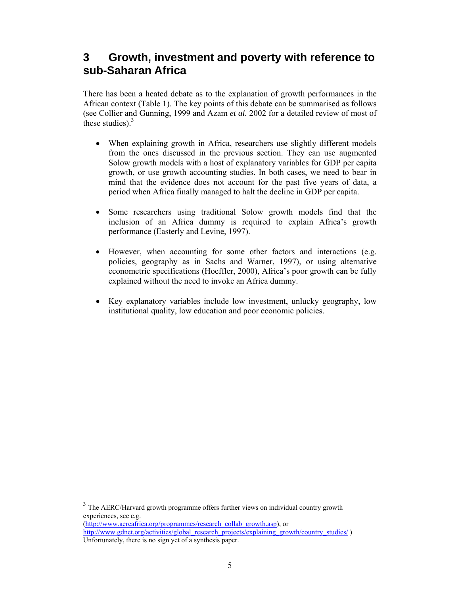# **3 Growth, investment and poverty with reference to sub-Saharan Africa**

There has been a heated debate as to the explanation of growth performances in the African context (Table 1). The key points of this debate can be summarised as follows (see Collier and Gunning, 1999 and Azam *et al.* 2002 for a detailed review of most of these studies). $3$ 

- When explaining growth in Africa, researchers use slightly different models from the ones discussed in the previous section. They can use augmented Solow growth models with a host of explanatory variables for GDP per capita growth, or use growth accounting studies. In both cases, we need to bear in mind that the evidence does not account for the past five years of data, a period when Africa finally managed to halt the decline in GDP per capita.
- Some researchers using traditional Solow growth models find that the inclusion of an Africa dummy is required to explain Africa's growth performance (Easterly and Levine, 1997).
- However, when accounting for some other factors and interactions (e.g. policies, geography as in Sachs and Warner, 1997), or using alternative econometric specifications (Hoeffler, 2000), Africa's poor growth can be fully explained without the need to invoke an Africa dummy.
- Key explanatory variables include low investment, unlucky geography, low institutional quality, low education and poor economic policies.

<sup>3</sup> The AERC/Harvard growth programme offers further views on individual country growth experiences, see e.g.

 $\overline{\phantom{a}}$ 

<sup>(</sup>http://www.aercafrica.org/programmes/research\_collab\_growth.asp), or http://www.gdnet.org/activities/global\_research\_projects/explaining\_growth/country\_studies/ ) Unfortunately, there is no sign yet of a synthesis paper.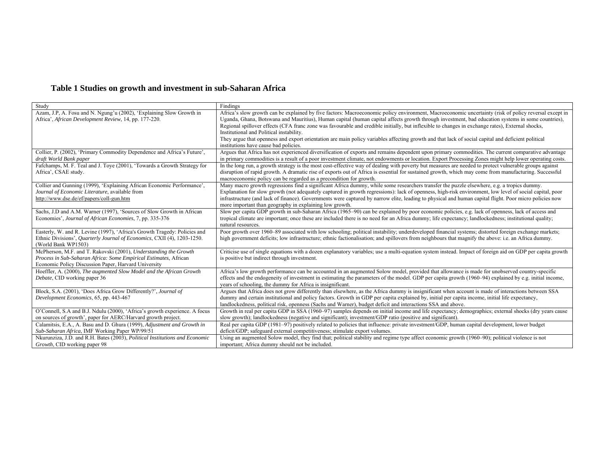### **Table 1 Studies on growth and investment in sub-Saharan Africa**

| Study                                                                                                | Findings                                                                                                                                                                                                                                                                                                  |
|------------------------------------------------------------------------------------------------------|-----------------------------------------------------------------------------------------------------------------------------------------------------------------------------------------------------------------------------------------------------------------------------------------------------------|
| Azam, J.P, A. Fosu and N. Ngung'u (2002), 'Explaining Slow Growth in                                 | Africa's slow growth can be explained by five factors: Macroeconomic policy environment, Macroeconomic uncertainty (risk of policy reversal except in                                                                                                                                                     |
| Africa', African Development Review, 14, pp. 177-220.                                                | Uganda, Ghana, Botswana and Mauritius), Human capital (human capital affects growth through investment, bad education systems in some countries),                                                                                                                                                         |
|                                                                                                      | Regional spillover effects (CFA franc zone was favourable and credible initially, but inflexible to changes in exchange rates), External shocks,                                                                                                                                                          |
|                                                                                                      | Institutional and Political instability.                                                                                                                                                                                                                                                                  |
|                                                                                                      | They argue that openness and export orientation are main policy variables affecting growth and that lack of social capital and deficient political                                                                                                                                                        |
|                                                                                                      | institutions have cause bad policies.                                                                                                                                                                                                                                                                     |
| Collier, P. (2002), 'Primary Commodity Dependence and Africa's Future',                              | Argues that Africa has not experienced diversification of exports and remains dependent upon primary commodities. The current comparative advantage                                                                                                                                                       |
| draft World Bank paper                                                                               | in primary commodities is a result of a poor investment climate, not endowments or location. Export Processing Zones might help lower operating costs.                                                                                                                                                    |
| Fafchamps, M. F. Teal and J. Toye (2001), 'Towards a Growth Strategy for                             | In the long run, a growth strategy is the most cost-effective way of dealing with poverty but measures are needed to protect vulnerable groups against                                                                                                                                                    |
| Africa', CSAE study.                                                                                 | disruption of rapid growth. A dramatic rise of exports out of Africa is essential for sustained growth, which may come from manufacturing. Successful                                                                                                                                                     |
|                                                                                                      | macroeconomic policy can be regarded as a precondition for growth.                                                                                                                                                                                                                                        |
| Collier and Gunning (1999), 'Explaining African Economic Performance',                               | Many macro growth regressions find a significant Africa dummy, while some researchers transfer the puzzle elsewhere, e.g. a tropics dummy.                                                                                                                                                                |
| Journal of Economic Literature, available from                                                       | Explanation for slow growth (not adequately captured in growth regressions): lack of openness, high-risk environment, low level of social capital, poor                                                                                                                                                   |
| http://www.dse.de/ef/papers/coll-gun.htm                                                             | infrastructure (and lack of finance). Governments were captured by narrow elite, leading to physical and human capital flight. Poor micro policies now                                                                                                                                                    |
|                                                                                                      | more important than geography in explaining low growth.                                                                                                                                                                                                                                                   |
| Sachs, J.D and A.M. Warner (1997), 'Sources of Slow Growth in African                                | Slow per capita GDP growth in sub-Saharan Africa (1965–90) can be explained by poor economic policies, e.g. lack of openness, lack of access and                                                                                                                                                          |
| Economies', Journal of African Economies, 7, pp. 335-376                                             | tropical climate are important; once these are included there is no need for an Africa dummy; life expectancy; landlockedness; institutional quality;                                                                                                                                                     |
|                                                                                                      | natural resources.                                                                                                                                                                                                                                                                                        |
| Easterly, W. and R. Levine (1997), 'Africa's Growth Tragedy: Policies and                            | Poor growth over 1960–89 associated with low schooling; political instability; underdeveloped financial systems; distorted foreign exchange markets;                                                                                                                                                      |
| Ethnic Divisions', Quarterly Journal of Economics, CXII (4), 1203-1250.                              | high government deficits; low infrastructure; ethnic factionalisation; and spillovers from neighbours that magnify the above: i.e. an Africa dummy.                                                                                                                                                       |
| (World Bank WP1503)                                                                                  |                                                                                                                                                                                                                                                                                                           |
| McPherson, M.F. and T. Rakovski (2001), Understanding the Growth                                     | Criticise use of single equations with a dozen explanatory variables; use a multi-equation system instead. Impact of foreign aid on GDP per capita growth                                                                                                                                                 |
| Process in Sub-Saharan Africa: Some Empirical Estimates, African                                     | is positive but indirect through investment.                                                                                                                                                                                                                                                              |
| Economic Policy Discussion Paper, Harvard University                                                 |                                                                                                                                                                                                                                                                                                           |
| Hoeffler, A. (2000), The augmented Slow Model and the African Growth<br>Debate, CID working paper 36 | Africa's low growth performance can be accounted in an augmented Solow model, provided that allowance is made for unobserved country-specific<br>effects and the endogeneity of investment in estimating the parameters of the model. GDP per capita growth $(1960-94)$ explained by e.g. initial income, |
|                                                                                                      | years of schooling, the dummy for Africa is insignificant.                                                                                                                                                                                                                                                |
| Block, S.A. (2001), 'Does Africa Grow Differently?', Journal of                                      | Argues that Africa does not grow differently than elsewhere, as the Africa dummy is insignificant when account is made of interactions between SSA                                                                                                                                                        |
| Development Economics, 65, pp. 443-467                                                               | dummy and certain institutional and policy factors. Growth in GDP per capita explained by, initial per capita income, initial life expectancy,                                                                                                                                                            |
|                                                                                                      | landlockedness, political risk, openness (Sachs and Warner), budget deficit and interactions SSA and above.                                                                                                                                                                                               |
| O'Connell, S.A and B.J. Ndulu (2000), 'Africa's growth experience. A focus                           | Growth in real per capita GDP in SSA (1960–97) samples depends on initial income and life expectancy; demographics; external shocks (dry years cause                                                                                                                                                      |
| on sources of growth', paper for AERC/Harvard growth project.                                        | slow growth); landlockedness (negative and significant); investment/GDP ratio (positive and significant).                                                                                                                                                                                                 |
| Calamitsis, E.A., A. Basu and D. Ghura (1999), Adjustment and Growth in                              | Real per capita GDP (1981–97) positively related to policies that influence: private investment/GDP, human capital development, lower budget                                                                                                                                                              |
| Sub-Saharan Africa, IMF Working Paper WP/99/51                                                       | deficit/GDP; safeguard external competitiveness; stimulate export volumes.                                                                                                                                                                                                                                |
| Nkurunziza, J.D. and R.H. Bates (2003), Political Institutions and Economic                          | Using an augmented Solow model, they find that; political stability and regime type affect economic growth (1960–90); political violence is not                                                                                                                                                           |
| Growth, CID working paper 98                                                                         | important; Africa dummy should not be included.                                                                                                                                                                                                                                                           |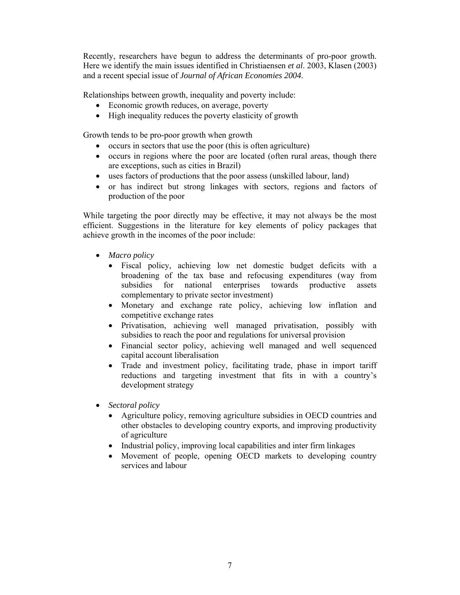Recently, researchers have begun to address the determinants of pro-poor growth. Here we identify the main issues identified in Christiaensen *et al*. 2003, Klasen (2003) and a recent special issue of *Journal of African Economies 2004*.

Relationships between growth, inequality and poverty include:

- Economic growth reduces, on average, poverty
- High inequality reduces the poverty elasticity of growth

Growth tends to be pro-poor growth when growth

- occurs in sectors that use the poor (this is often agriculture)
- occurs in regions where the poor are located (often rural areas, though there are exceptions, such as cities in Brazil)
- uses factors of productions that the poor assess (unskilled labour, land)
- or has indirect but strong linkages with sectors, regions and factors of production of the poor

While targeting the poor directly may be effective, it may not always be the most efficient. Suggestions in the literature for key elements of policy packages that achieve growth in the incomes of the poor include:

- *Macro policy* 
	- Fiscal policy, achieving low net domestic budget deficits with a broadening of the tax base and refocusing expenditures (way from subsidies for national enterprises towards productive assets complementary to private sector investment)
	- Monetary and exchange rate policy, achieving low inflation and competitive exchange rates
	- Privatisation, achieving well managed privatisation, possibly with subsidies to reach the poor and regulations for universal provision
	- Financial sector policy, achieving well managed and well sequenced capital account liberalisation
	- Trade and investment policy, facilitating trade, phase in import tariff reductions and targeting investment that fits in with a country's development strategy
- *Sectoral policy* 
	- Agriculture policy, removing agriculture subsidies in OECD countries and other obstacles to developing country exports, and improving productivity of agriculture
	- Industrial policy, improving local capabilities and inter firm linkages
	- Movement of people, opening OECD markets to developing country services and labour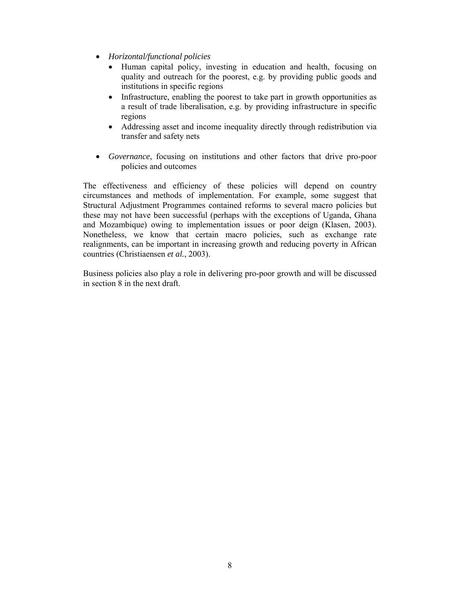- *Horizontal/functional policies* 
	- Human capital policy, investing in education and health, focusing on quality and outreach for the poorest, e.g. by providing public goods and institutions in specific regions
	- Infrastructure, enabling the poorest to take part in growth opportunities as a result of trade liberalisation, e.g. by providing infrastructure in specific regions
	- Addressing asset and income inequality directly through redistribution via transfer and safety nets
- *Governance*, focusing on institutions and other factors that drive pro-poor policies and outcomes

The effectiveness and efficiency of these policies will depend on country circumstances and methods of implementation. For example, some suggest that Structural Adjustment Programmes contained reforms to several macro policies but these may not have been successful (perhaps with the exceptions of Uganda, Ghana and Mozambique) owing to implementation issues or poor deign (Klasen, 2003). Nonetheless, we know that certain macro policies, such as exchange rate realignments, can be important in increasing growth and reducing poverty in African countries (Christiaensen *et al.*, 2003).

Business policies also play a role in delivering pro-poor growth and will be discussed in section 8 in the next draft.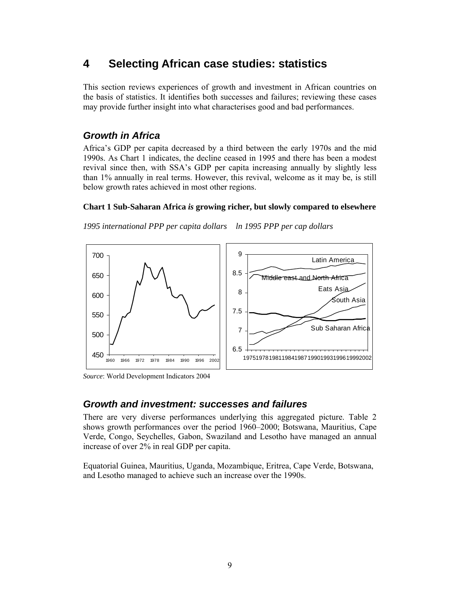# **4 Selecting African case studies: statistics**

This section reviews experiences of growth and investment in African countries on the basis of statistics. It identifies both successes and failures; reviewing these cases may provide further insight into what characterises good and bad performances.

### *Growth in Africa*

Africa's GDP per capita decreased by a third between the early 1970s and the mid 1990s. As Chart 1 indicates, the decline ceased in 1995 and there has been a modest revival since then, with SSA's GDP per capita increasing annually by slightly less than 1% annually in real terms. However, this revival, welcome as it may be, is still below growth rates achieved in most other regions.

#### **Chart 1 Sub-Saharan Africa** *is* **growing richer, but slowly compared to elsewhere**

*1995 international PPP per capita dollars ln 1995 PPP per cap dollars* 



*Source*: World Development Indicators 2004

### *Growth and investment: successes and failures*

There are very diverse performances underlying this aggregated picture. Table 2 shows growth performances over the period 1960–2000; Botswana, Mauritius, Cape Verde, Congo, Seychelles, Gabon, Swaziland and Lesotho have managed an annual increase of over 2% in real GDP per capita.

Equatorial Guinea, Mauritius, Uganda, Mozambique, Eritrea, Cape Verde, Botswana, and Lesotho managed to achieve such an increase over the 1990s.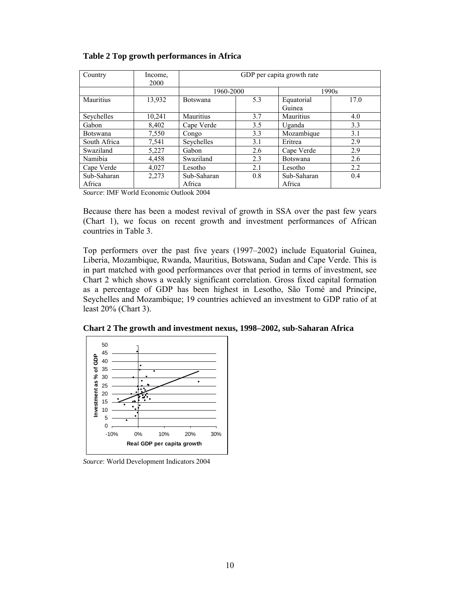| Country          | Income,<br>2000 | GDP per capita growth rate |     |                 |      |  |  |  |  |
|------------------|-----------------|----------------------------|-----|-----------------|------|--|--|--|--|
|                  |                 | 1960-2000                  |     | 1990s           |      |  |  |  |  |
| <b>Mauritius</b> | 13,932          | <b>Botswana</b>            | 5.3 | Equatorial      | 17.0 |  |  |  |  |
|                  |                 |                            |     | Guinea          |      |  |  |  |  |
| Seychelles       | 10,241          | Mauritius                  | 3.7 | Mauritius       | 4.0  |  |  |  |  |
| Gabon            | 8,402           | Cape Verde                 | 3.5 | Uganda          | 3.3  |  |  |  |  |
| <b>Botswana</b>  | 7,550           | Congo                      | 3.3 | Mozambique      | 3.1  |  |  |  |  |
| South Africa     | 7,541           | Seychelles                 | 3.1 | Eritrea         | 2.9  |  |  |  |  |
| Swaziland        | 5,227           | Gabon                      | 2.6 | Cape Verde      | 2.9  |  |  |  |  |
| Namibia          | 4,458           | Swaziland                  | 2.3 | <b>Botswana</b> | 2.6  |  |  |  |  |
| Cape Verde       | 4,027           | Lesotho                    | 2.1 | Lesotho         | 2.2  |  |  |  |  |
| Sub-Saharan      | 2,273           | Sub-Saharan                | 0.8 | Sub-Saharan     | 0.4  |  |  |  |  |
| Africa           |                 | Africa<br>Africa           |     |                 |      |  |  |  |  |

**Table 2 Top growth performances in Africa** 

*Source*: IMF World Economic Outlook 2004

Because there has been a modest revival of growth in SSA over the past few years (Chart 1), we focus on recent growth and investment performances of African countries in Table 3.

Top performers over the past five years (1997–2002) include Equatorial Guinea, Liberia, Mozambique, Rwanda, Mauritius, Botswana, Sudan and Cape Verde. This is in part matched with good performances over that period in terms of investment, see Chart 2 which shows a weakly significant correlation. Gross fixed capital formation as a percentage of GDP has been highest in Lesotho, São Tomé and Principe, Seychelles and Mozambique; 19 countries achieved an investment to GDP ratio of at least 20% (Chart 3).

**Chart 2 The growth and investment nexus, 1998–2002, sub-Saharan Africa** 



*Source*: World Development Indicators 2004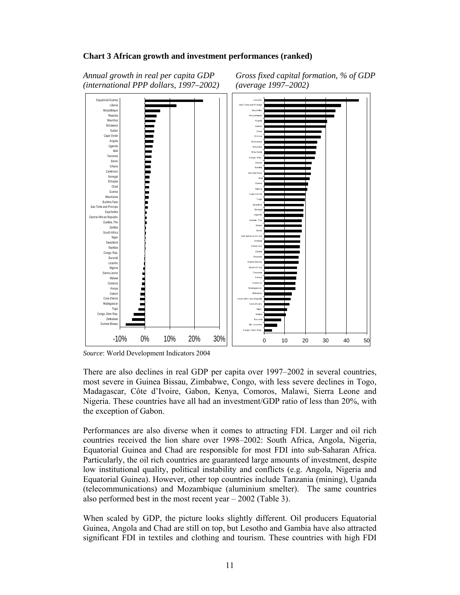#### **Chart 3 African growth and investment performances (ranked)**

*Annual growth in real per capita GDP Gross fixed capital formation, % of GDP (international PPP dollars, 1997–2002) (average 1997–2002)* 



*Source*: World Development Indicators 2004

There are also declines in real GDP per capita over 1997–2002 in several countries, most severe in Guinea Bissau, Zimbabwe, Congo, with less severe declines in Togo, Madagascar, Côte d'Ivoire, Gabon, Kenya, Comoros, Malawi, Sierra Leone and Nigeria. These countries have all had an investment/GDP ratio of less than 20%, with the exception of Gabon.

Performances are also diverse when it comes to attracting FDI. Larger and oil rich countries received the lion share over 1998–2002: South Africa, Angola, Nigeria, Equatorial Guinea and Chad are responsible for most FDI into sub-Saharan Africa. Particularly, the oil rich countries are guaranteed large amounts of investment, despite low institutional quality, political instability and conflicts (e.g. Angola, Nigeria and Equatorial Guinea). However, other top countries include Tanzania (mining), Uganda (telecommunications) and Mozambique (aluminium smelter). The same countries also performed best in the most recent year – 2002 (Table 3).

When scaled by GDP, the picture looks slightly different. Oil producers Equatorial Guinea, Angola and Chad are still on top, but Lesotho and Gambia have also attracted significant FDI in textiles and clothing and tourism. These countries with high FDI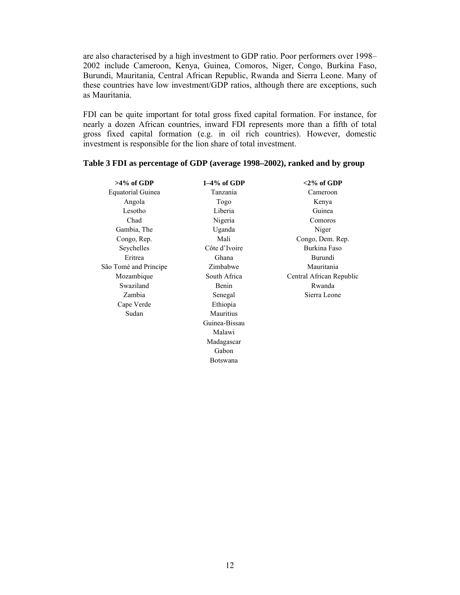are also characterised by a high investment to GDP ratio. Poor performers over 1998– 2002 include Cameroon, Kenya, Guinea, Comoros, Niger, Congo, Burkina Faso, Burundi, Mauritania, Central African Republic, Rwanda and Sierra Leone. Many of these countries have low investment/GDP ratios, although there are exceptions, such as Mauritania.

FDI can be quite important for total gross fixed capital formation. For instance, for nearly a dozen African countries, inward FDI represents more than a fifth of total gross fixed capital formation (e.g. in oil rich countries). However, domestic investment is responsible for the lion share of total investment.

#### **Table 3 FDI as percentage of GDP (average 1998–2002), ranked and by group**

| $>4\%$ of GDP            | $1-4\%$ of GDP  | $<$ 2% of GDP            |
|--------------------------|-----------------|--------------------------|
| <b>Equatorial Guinea</b> | Tanzania        | Cameroon                 |
| Angola                   | Togo            | Kenya                    |
| Lesotho                  | Liberia         | Guinea                   |
| Chad                     | Nigeria         | Comoros                  |
| Gambia, The              | Uganda          | Niger                    |
| Congo, Rep.              | Mali            | Congo, Dem. Rep.         |
| Seychelles               | Côte d'Ivoire   | Burkina Faso             |
| Eritrea                  | Ghana           | Burundi                  |
| São Tomé and Principe    | Zimbabwe        | Mauritania               |
| Mozambique               | South Africa    | Central African Republic |
| Swaziland                | Benin           | Rwanda                   |
| Zambia                   | Senegal         | Sierra Leone             |
| Cape Verde               | Ethiopia        |                          |
| Sudan                    | Mauritius       |                          |
|                          | Guinea-Bissau   |                          |
|                          | Malawi          |                          |
|                          | Madagascar      |                          |
|                          | Gabon           |                          |
|                          | <b>Botswana</b> |                          |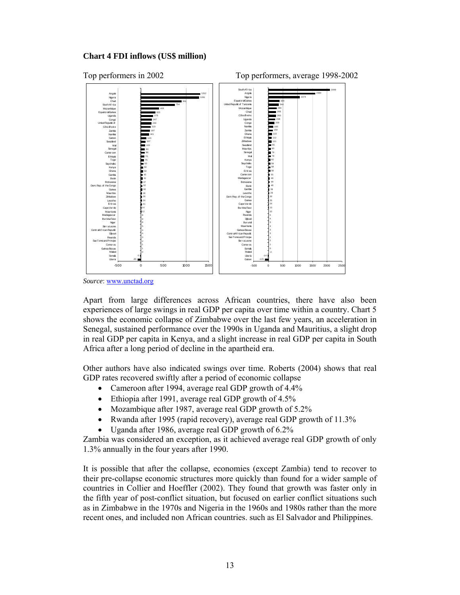#### **Chart 4 FDI inflows (US\$ million)**



Top performers in 2002 Top performers, average 1998-2002



*Source*: www.unctad.org

Apart from large differences across African countries, there have also been experiences of large swings in real GDP per capita over time within a country. Chart 5 shows the economic collapse of Zimbabwe over the last few years, an acceleration in Senegal, sustained performance over the 1990s in Uganda and Mauritius, a slight drop in real GDP per capita in Kenya, and a slight increase in real GDP per capita in South Africa after a long period of decline in the apartheid era.

Other authors have also indicated swings over time. Roberts (2004) shows that real GDP rates recovered swiftly after a period of economic collapse

- Cameroon after 1994, average real GDP growth of 4.4%
- Ethiopia after 1991, average real GDP growth of 4.5%
- Mozambique after 1987, average real GDP growth of 5.2%
- Rwanda after 1995 (rapid recovery), average real GDP growth of 11.3%
- Uganda after 1986, average real GDP growth of 6.2%

Zambia was considered an exception, as it achieved average real GDP growth of only 1.3% annually in the four years after 1990.

It is possible that after the collapse, economies (except Zambia) tend to recover to their pre-collapse economic structures more quickly than found for a wider sample of countries in Collier and Hoeffler (2002). They found that growth was faster only in the fifth year of post-conflict situation, but focused on earlier conflict situations such as in Zimbabwe in the 1970s and Nigeria in the 1960s and 1980s rather than the more recent ones, and included non African countries. such as El Salvador and Philippines.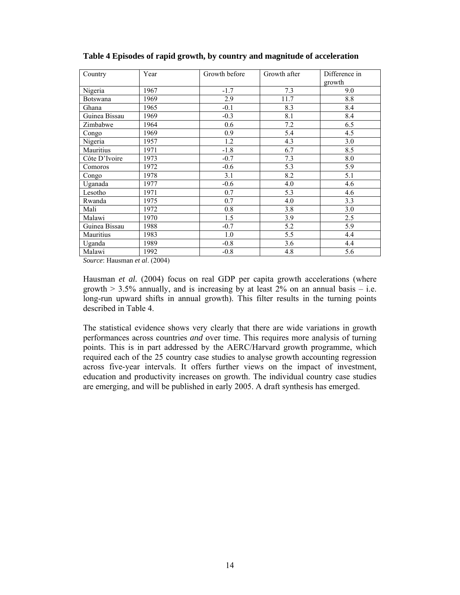| Country       | Year | Growth before | Growth after | Difference in |
|---------------|------|---------------|--------------|---------------|
|               |      |               |              | growth        |
| Nigeria       | 1967 | $-1.7$        | 7.3          | 9.0           |
| Botswana      | 1969 | 2.9           | 11.7         | 8.8           |
| Ghana         | 1965 | $-0.1$        | 8.3          | 8.4           |
| Guinea Bissau | 1969 | $-0.3$        | 8.1          | 8.4           |
| Zimbabwe      | 1964 | 0.6           | 7.2          | 6.5           |
| Congo         | 1969 | 0.9           | 5.4          | 4.5           |
| Nigeria       | 1957 | 1.2           | 4.3          | 3.0           |
| Mauritius     | 1971 | $-1.8$        | 6.7          | 8.5           |
| Côte D'Ivoire | 1973 | $-0.7$        | 7.3          | 8.0           |
| Comoros       | 1972 | $-0.6$        | 5.3          | 5.9           |
| Congo         | 1978 | 3.1           | 8.2          | 5.1           |
| Uganada       | 1977 | $-0.6$        | 4.0          | 4.6           |
| Lesotho       | 1971 | 0.7           | 5.3          | 4.6           |
| Rwanda        | 1975 | 0.7           | 4.0          | 3.3           |
| Mali          | 1972 | 0.8           | 3.8          | 3.0           |
| Malawi        | 1970 | 1.5           | 3.9          | 2.5           |
| Guinea Bissau | 1988 | $-0.7$        | 5.2          | 5.9           |
| Mauritius     | 1983 | 1.0           | 5.5          | 4.4           |
| Uganda        | 1989 | $-0.8$        | 3.6          | 4.4           |
| Malawi        | 1992 | $-0.8$        | 4.8          | 5.6           |

**Table 4 Episodes of rapid growth, by country and magnitude of acceleration** 

*Source*: Hausman *et al*. (2004)

Hausman *et al.* (2004) focus on real GDP per capita growth accelerations (where growth  $> 3.5\%$  annually, and is increasing by at least 2% on an annual basis – i.e. long-run upward shifts in annual growth). This filter results in the turning points described in Table 4.

The statistical evidence shows very clearly that there are wide variations in growth performances across countries *and* over time. This requires more analysis of turning points. This is in part addressed by the AERC/Harvard growth programme, which required each of the 25 country case studies to analyse growth accounting regression across five-year intervals. It offers further views on the impact of investment, education and productivity increases on growth. The individual country case studies are emerging, and will be published in early 2005. A draft synthesis has emerged.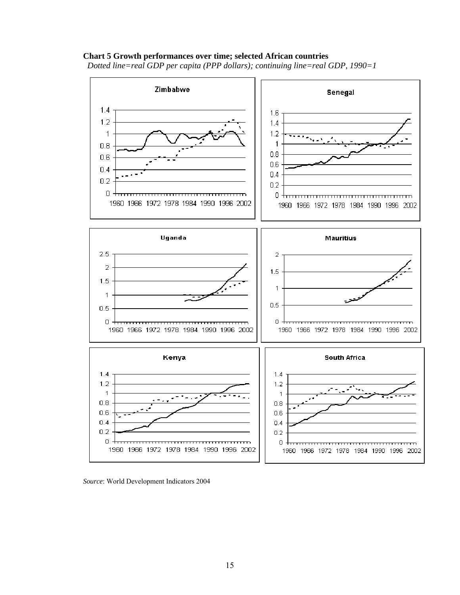#### **Chart 5 Growth performances over time; selected African countries**

*Dotted line=real GDP per capita (PPP dollars); continuing line=real GDP, 1990=1* 



*Source*: World Development Indicators 2004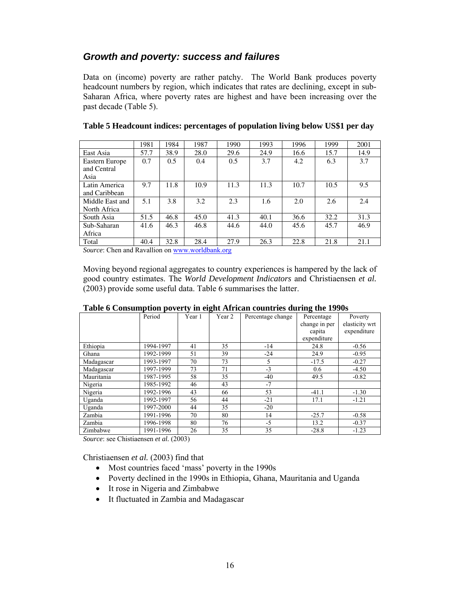### *Growth and poverty: success and failures*

Data on (income) poverty are rather patchy. The World Bank produces poverty headcount numbers by region, which indicates that rates are declining, except in sub-Saharan Africa, where poverty rates are highest and have been increasing over the past decade (Table 5).

|                 | 1981 | 1984 | 1987 | 1990 | 1993 | 1996 | 1999 | 2001 |
|-----------------|------|------|------|------|------|------|------|------|
| East Asia       | 57.7 | 38.9 | 28.0 | 29.6 | 24.9 | 16.6 | 15.7 | 14.9 |
| Eastern Europe  | 0.7  | 0.5  | 0.4  | 0.5  | 3.7  | 4.2  | 6.3  | 3.7  |
| and Central     |      |      |      |      |      |      |      |      |
| Asia            |      |      |      |      |      |      |      |      |
| Latin America   | 9.7  | 11.8 | 10.9 | 11.3 | 11.3 | 10.7 | 10.5 | 9.5  |
| and Caribbean   |      |      |      |      |      |      |      |      |
| Middle East and | 5.1  | 3.8  | 3.2  | 2.3  | 1.6  | 2.0  | 2.6  | 2.4  |
| North Africa    |      |      |      |      |      |      |      |      |
| South Asia      | 51.5 | 46.8 | 45.0 | 41.3 | 40.1 | 36.6 | 32.2 | 31.3 |
| Sub-Saharan     | 41.6 | 46.3 | 46.8 | 44.6 | 44.0 | 45.6 | 45.7 | 46.9 |
| Africa          |      |      |      |      |      |      |      |      |
| Total           | 40.4 | 32.8 | 28.4 | 27.9 | 26.3 | 22.8 | 21.8 | 21.1 |

| Table 5 Headcount indices: percentages of population living below US\$1 per day |  |  |
|---------------------------------------------------------------------------------|--|--|
|                                                                                 |  |  |

*Source*: Chen and Ravallion on www.worldbank.org

Moving beyond regional aggregates to country experiences is hampered by the lack of good country estimates. The *World Development Indicators* and Christiaensen *et al.*  (2003) provide some useful data. Table 6 summarises the latter.

|            |           | ັ      | $\overline{ }$ |                   | $\overline{ }$ |                |
|------------|-----------|--------|----------------|-------------------|----------------|----------------|
|            | Period    | Year 1 | Year 2         | Percentage change | Percentage     | Poverty        |
|            |           |        |                |                   | change in per  | elasticity wrt |
|            |           |        |                |                   | capita         | expenditure    |
|            |           |        |                |                   | expenditure    |                |
| Ethiopia   | 1994-1997 | 41     | 35             | $-14$             | 24.8           | $-0.56$        |
| Ghana      | 1992-1999 | 51     | 39             | $-24$             | 24.9           | $-0.95$        |
| Madagascar | 1993-1997 | 70     | 73             | 5                 | $-17.5$        | $-0.27$        |
| Madagascar | 1997-1999 | 73     | 71             | $-3$              | 0.6            | $-4.50$        |
| Mauritania | 1987-1995 | 58     | 35             | $-40$             | 49.5           | $-0.82$        |
| Nigeria    | 1985-1992 | 46     | 43             | $-7$              |                |                |
| Nigeria    | 1992-1996 | 43     | 66             | 53                | $-41.1$        | $-1.30$        |
| Uganda     | 1992-1997 | 56     | 44             | $-21$             | 17.1           | $-1.21$        |
| Uganda     | 1997-2000 | 44     | 35             | $-20$             |                |                |
| Zambia     | 1991-1996 | 70     | 80             | 14                | $-25.7$        | $-0.58$        |
| Zambia     | 1996-1998 | 80     | 76             | $-5$              | 13.2           | $-0.37$        |
| Zimbabwe   | 1991-1996 | 26     | 35             | 35                | $-28.8$        | $-1.23$        |

#### **Table 6 Consumption poverty in eight African countries during the 1990s**

*Source*: see Chistiaensen *et al.* (2003)

Christiaensen *et al.* (2003) find that

- Most countries faced 'mass' poverty in the 1990s
- Poverty declined in the 1990s in Ethiopia, Ghana, Mauritania and Uganda
- It rose in Nigeria and Zimbabwe
- It fluctuated in Zambia and Madagascar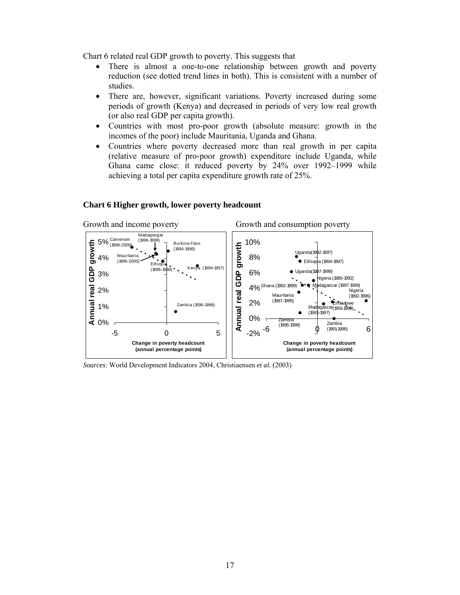Chart 6 related real GDP growth to poverty. This suggests that

- There is almost a one-to-one relationship between growth and poverty reduction (see dotted trend lines in both). This is consistent with a number of studies.
- There are, however, significant variations. Poverty increased during some periods of growth (Kenya) and decreased in periods of very low real growth (or also real GDP per capita growth).
- Countries with most pro-poor growth (absolute measure: growth in the incomes of the poor) include Mauritania, Uganda and Ghana.
- Countries where poverty decreased more than real growth in per capita (relative measure of pro-poor growth) expenditure include Uganda, while Ghana came close: it reduced poverty by 24% over 1992–1999 while achieving a total per capita expenditure growth rate of 25%.

#### Growth and income poverty Growth and consumption poverty Madagasgar Cameroon (1996-1998) 10% 5% growth **Annual real GDP growth** Burkina Faso growth (1996-2000) **Annual real GDP growth** (1994-1998) Uganda(1992-1997) Mauritania 8% 4% Ethiopia (1994-1997) (1996-2000)  $E<sub>thi</sub>$ Kenya (1994-1997) (1996-Uganda(1997-1999) Annual real GDP 6% 3% Nigeria (1985-1992) dagascar (1997-1999) 4% Ghana (1992-1999) 2% Nigeria (1992-1996) Mauritania 2% (1987-1995) Madagascar Zimbabwe (1991-1996) Zambia (1996-1998) 1% (1993-1997) 0% Zambia 0% Zambia (1996-1998)  $-6$   $(19911996)$   $6$ -5 0 5 -2% **Change in poverty headcount Change in poverty headcount (annual percentage points) (annual percentage points)**

#### **Chart 6 Higher growth, lower poverty headcount**

*Sources*: World Development Indicators 2004, Christiaensen *et al.* (2003)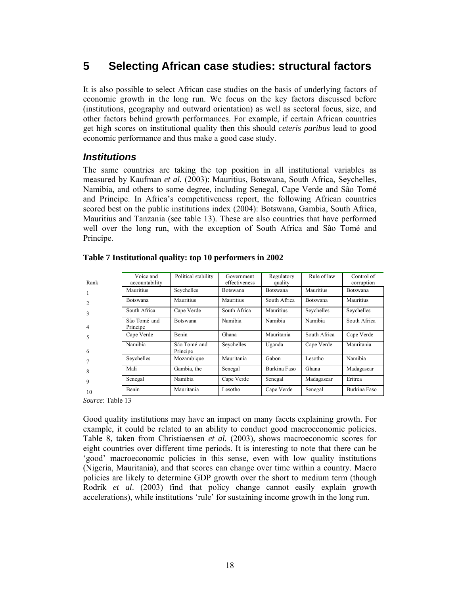# **5 Selecting African case studies: structural factors**

It is also possible to select African case studies on the basis of underlying factors of economic growth in the long run. We focus on the key factors discussed before (institutions, geography and outward orientation) as well as sectoral focus, size, and other factors behind growth performances. For example, if certain African countries get high scores on institutional quality then this should *ceteris paribus* lead to good economic performance and thus make a good case study.

### *Institutions*

The same countries are taking the top position in all institutional variables as measured by Kaufman *et al.* (2003): Mauritius, Botswana, South Africa, Seychelles, Namibia, and others to some degree, including Senegal, Cape Verde and São Tomé and Principe. In Africa's competitiveness report, the following African countries scored best on the public institutions index (2004): Botswana, Gambia, South Africa, Mauritius and Tanzania (see table 13). These are also countries that have performed well over the long run, with the exception of South Africa and São Tomé and Principe.

| Rank | Voice and<br>accountability | Political stability      | Government<br>effectiveness | Regulatory<br>quality | Rule of law  | Control of<br>corruption |
|------|-----------------------------|--------------------------|-----------------------------|-----------------------|--------------|--------------------------|
|      | Mauritius                   | Seychelles               | Botswana                    | Botswana              | Mauritius    | Botswana                 |
|      | <b>Botswana</b>             | Mauritius                | Mauritius                   | South Africa          | Botswana     | Mauritius                |
| 3    | South Africa                | Cape Verde               | South Africa                | Mauritius             | Seychelles   | Seychelles               |
| 4    | São Tomé and<br>Principe    | <b>Botswana</b>          | Namibia                     | Namibia               | Namibia      | South Africa             |
| 5    | Cape Verde                  | Benin                    | Ghana                       | Mauritania            | South Africa | Cape Verde               |
| 6    | Namibia                     | São Tomé and<br>Principe | Seychelles                  | Uganda                | Cape Verde   | Mauritania               |
|      | Seychelles                  | Mozambique               | Mauritania                  | Gabon                 | Lesotho      | Namibia                  |
| 8    | Mali                        | Gambia, the              | Senegal                     | Burkina Faso          | Ghana        | Madagascar               |
| 9    | Senegal                     | Namibia                  | Cape Verde                  | Senegal               | Madagascar   | Eritrea                  |
| 10   | Benin                       | Mauritania               | Lesotho                     | Cape Verde            | Senegal      | Burkina Faso             |

#### **Table 7 Institutional quality: top 10 performers in 2002**

*Source*: Table 13

Good quality institutions may have an impact on many facets explaining growth. For example, it could be related to an ability to conduct good macroeconomic policies. Table 8, taken from Christiaensen *et al.* (2003), shows macroeconomic scores for eight countries over different time periods. It is interesting to note that there can be 'good' macroeconomic policies in this sense, even with low quality institutions (Nigeria, Mauritania), and that scores can change over time within a country. Macro policies are likely to determine GDP growth over the short to medium term (though Rodrik *et al*. (2003) find that policy change cannot easily explain growth accelerations), while institutions 'rule' for sustaining income growth in the long run.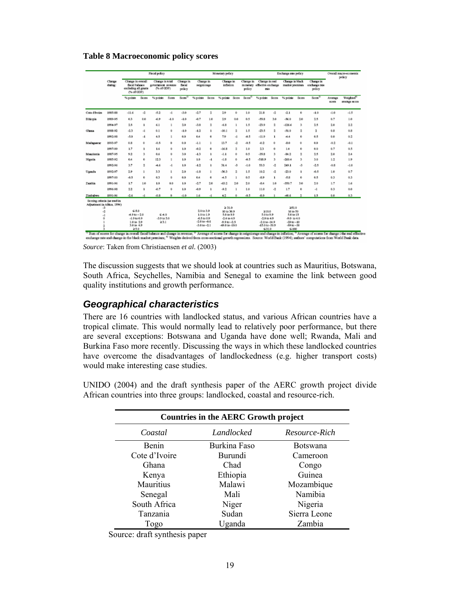**Table 8 Macroeconomic policy scores** 

|                                                                         |                   | <b>Fiscal policy</b>                                                     |       |                                                   |                      |                               |                             | Exchange rate policy<br>Monstary policy |                             |              |                     |                                                       |     |                                   |       | Overall macro-economic<br>policy     |                         |                                             |
|-------------------------------------------------------------------------|-------------------|--------------------------------------------------------------------------|-------|---------------------------------------------------|----------------------|-------------------------------|-----------------------------|-----------------------------------------|-----------------------------|--------------|---------------------|-------------------------------------------------------|-----|-----------------------------------|-------|--------------------------------------|-------------------------|---------------------------------------------|
|                                                                         | Change<br>during: | Change in overall<br>facul balance.<br>socketing all grants<br>(Ned GDP) |       | Change in total<br>government sympas<br>(Ned GDP) |                      | Change in<br>flocal<br>policy | Change in<br>seigninsage    |                                         | Change in<br>infation.      |              | Change in<br>policy | Change in seal.<br>monstery offictive exchange<br>nis |     | Change in black<br>market premium |       | Chance in<br>exchange rate<br>policy |                         |                                             |
|                                                                         |                   | % points                                                                 | Score | % points                                          | 5 core               | Scone <sup>0</sup>            | % points Score              |                                         | % points Some               |              | Scots <sup>21</sup> | Nipolate Scots                                        |     | % points                          | Score | Score <sup>3</sup>                   | Average<br><b>BOOTH</b> | Weighted <sup>11</sup><br><b>MEDAL ROIS</b> |
| Cots d'Ivoire                                                           | 1985-89           | $-11.6$                                                                  | a.    | $-5.2$                                            | -1                   | $-3.0$                        | $-2.7$                      | 2                                       | 29                          | ۰            | 1.0                 | 21.8                                                  | a.  | $-2.1$                            | 0     | $-1.0$                               | $-1.0$                  | $-1.5$                                      |
| <b>Diversia</b>                                                         | 1989-05           | 63                                                                       | 0.0   | 49                                                | $-1.0$               | $-1.0$                        | $-0.7$                      | 1.0                                     | 29                          | 0.0          | 0.5                 | $-55.8$                                               | 3.0 | -56.0                             | 2.0   | 25                                   | 0.7                     | 1.0                                         |
|                                                                         | 1994-97           | 2.5                                                                      | 1     | 6.1                                               | n                    | 2.0                           | $-3.8$                      | 2                                       | -6.8                        | $\mathbf{I}$ | 1.5                 | $-23.9$                                               | 2   | $-126.6$                          | э     | 2.5                                  | 2.0                     | 2.2                                         |
| Cibera                                                                  | 1988-92           | -2.3                                                                     | $-1$  | 0.1                                               | $\theta$             | $-1.0$                        | $-1.2$                      | ı                                       | $-10.1$                     | ž,           | 1.5                 | $-23.5$                                               | 2   | -51.0                             | 2     | 2                                    | 0.81                    | 0.8                                         |
|                                                                         | 1993-98           | $-5.0$                                                                   | -1    | 4.5                                               | I                    | 0.0                           | 0.4                         | 0                                       | 7.9                         | $-1$         | 45                  | $-11.9$                                               | 1.  | AA                                | ۰     | 0.5                                  | 0.0                     | 0.2                                         |
| Мадидиске                                                               | 1993-97           | 0.8                                                                      | e.    | $-0.5$                                            | O.                   | 0.0                           | $-1.1$                      | ı                                       | 13.7                        | 4            | 0.5                 | $-0.2$                                                | ٠   | $-8.0$                            | ٠     | 0.G                                  | -8.2                    | $-0.1$                                      |
|                                                                         | 1997-99           | 1.7                                                                      | 1     | 1.6                                               | $\ddot{\phantom{a}}$ | 1.0                           | $-0.2$                      | o                                       | $-16.5$                     | ž,           | 1.0                 | 23                                                    | O.  | 1.4                               | O.    | 0.0                                  | 0.7                     | 0.5                                         |
| <b>Mazzitania</b>                                                       | 1987-95           | 9.2                                                                      | х     | 0.6                                               | a.                   | 3.0                           | $-1.3$                      | ı                                       | $-1.1$                      | ÷            | 0.5                 | $-35.5$                                               | х   | $-34.2$                           | 2     | 2.5                                  | 2.0                     | 2.4                                         |
| Nasta                                                                   | 1985-92           | 0.4                                                                      | 0     | 12.3                                              | t                    | 1.0                           | 1.0                         | $-1$                                    | $-1.81$                     | ۰            | 45                  | $-518.9$                                              | х   | $-260.4$                          | х     | 3.0                                  | 1.2                     | 1.9                                         |
|                                                                         | 1993-96           | 3.7                                                                      | 2     | -4.6                                              | -1                   | 1.0                           | $-1.2$                      | ı                                       | 31.4                        | J.           | $-1.0$              | 53.3                                                  | ٠   | 249.1                             | J.    | $-2.5$                               | $-0.81$                 | $-1.0$                                      |
| Ugarda                                                                  | 1993-97           | 2.9                                                                      | ı     | 3.3                                               | ı                    | 2.0                           | $-1.8$                      | ı                                       | $-30.3$                     | ž.           | 1.5                 | 39.2                                                  | a   | $-23.0$                           | 1     | $-0.5$                               | 1.0                     | 0.7                                         |
|                                                                         | 1997-00           | $-0.5$                                                                   | 0     | 63                                                | $\alpha$             | 6.0                           | 0.4                         | 0                                       | $+5$                        |              | 0.5                 | $-0.9$                                                | 1   | -5.8                              | o     | 0.5                                  | 0.3                     | 0.3                                         |
| Zanthia                                                                 | 1991-96           | 1.7                                                                      | 1.0   | 1.0                                               | 0.0                  | 1.0                           | $-2.7$                      | 2.0                                     | $-63.2$                     | 2.0          | 2.0                 | 44                                                    | 1.0 | $-350.7$                          | 3.0   | 20                                   | 1.7                     | 1.6                                         |
|                                                                         | 1996-93           | 22                                                                       | 1     | $-0.7$                                            | $\theta$             | 1.0                           | $-0.9$                      | ٠                                       | $-0.2$                      |              | LD                  | 11.0                                                  | a.  | 1.7                               | 0     | -1                                   | 0.3                     | 0.0                                         |
| Zimbabwa                                                                | 1991-96           | -2.6                                                                     | $-1$  | $-0.3$                                            | ۰                    | $-1.0$                        | 1.6                         | $-1$                                    | 4.2                         | ٠            | $-0.5$              | $-8.0$                                                |     | $-40.6$                           | 2     | 1.5                                  | 0.0                     | 0.3                                         |
| Scoting criteria (as used in<br>Adjustment in Africa, 1994).<br>$\cdot$ |                   |                                                                          |       |                                                   |                      |                               |                             |                                         | 231.0                       |              |                     |                                                       |     | 251.0                             |       |                                      |                         |                                             |
| -2                                                                      |                   | 550                                                                      |       |                                                   |                      |                               | 2.0403.9                    |                                         | 10 to 30.9                  |              |                     | 210.0                                                 |     | 16 to 50                          |       |                                      |                         |                                             |
| -2                                                                      |                   | $-4.9 + a - 2.0$<br>$-1.9$ to $0.9$                                      |       | \$40<br>$-3.9$ to $3.0$                           |                      |                               | 1.0 to 1.9<br>$-0.5 to 0.9$ |                                         | 5.0 to 9.9<br>$-2.4 to 4.9$ |              |                     | 5.0 to 9.9<br>$-2.0$ to $4.9$                         |     | 5.0 to 15<br>$-9.0$ to $4.0$      |       |                                      |                         |                                             |
|                                                                         |                   | 1.0 to 2.9                                                               |       | 231                                               |                      |                               | $-2.0$ to $-0.6$            |                                         | $9.910 - 2.5$               |              |                     | $-2.1$ to $-14.9$                                     |     | $-39 + 0 - 10$                    |       |                                      |                         |                                             |
|                                                                         |                   | 3.0%4.9<br>2.5.0                                                         |       |                                                   |                      |                               | $-3.0$ to $-2.1$            |                                         | $-49.0$ to $-10.0$          |              |                     | $-15.040 - 30.9$<br>\$31.0                            |     | $-39 + 0 - 30$<br>$$-100$         |       |                                      |                         |                                             |

" Yun of sores for charge in overal facul balance and charge in sweme, " Average of scores for charge in segmorage and charge in intelocy, " Average of scores for charge i the real effect<br>excharge rate and charge in the bl

*Source*: Taken from Christiaensen *et al.* (2003)

The discussion suggests that we should look at countries such as Mauritius, Botswana, South Africa, Seychelles, Namibia and Senegal to examine the link between good quality institutions and growth performance.

### *Geographical characteristics*

There are 16 countries with landlocked status, and various African countries have a tropical climate. This would normally lead to relatively poor performance, but there are several exceptions: Botswana and Uganda have done well; Rwanda, Mali and Burkina Faso more recently. Discussing the ways in which these landlocked countries have overcome the disadvantages of landlockedness (e.g. higher transport costs) would make interesting case studies.

UNIDO (2004) and the draft synthesis paper of the AERC growth project divide African countries into three groups: landlocked, coastal and resource-rich.

|               | <b>Countries in the AERC Growth project</b> |                 |  |  |  |  |  |  |  |  |  |
|---------------|---------------------------------------------|-----------------|--|--|--|--|--|--|--|--|--|
| Coastal       | Landlocked                                  | Resource-Rich   |  |  |  |  |  |  |  |  |  |
| Benin         | Burkina Faso                                | <b>Botswana</b> |  |  |  |  |  |  |  |  |  |
| Cote d'Ivoire | <b>Burundi</b>                              | Cameroon        |  |  |  |  |  |  |  |  |  |
| Ghana         | Chad                                        | Congo           |  |  |  |  |  |  |  |  |  |
| Kenya         | Ethiopia                                    | Guinea          |  |  |  |  |  |  |  |  |  |
| Mauritius     | Malawi                                      | Mozambique      |  |  |  |  |  |  |  |  |  |
| Senegal       | Mali                                        | Namibia         |  |  |  |  |  |  |  |  |  |
| South Africa  | Niger                                       | Nigeria         |  |  |  |  |  |  |  |  |  |
| Tanzania      | Sudan                                       | Sierra Leone    |  |  |  |  |  |  |  |  |  |
| Togo          | Uganda                                      | Zambia          |  |  |  |  |  |  |  |  |  |

Source: draft synthesis paper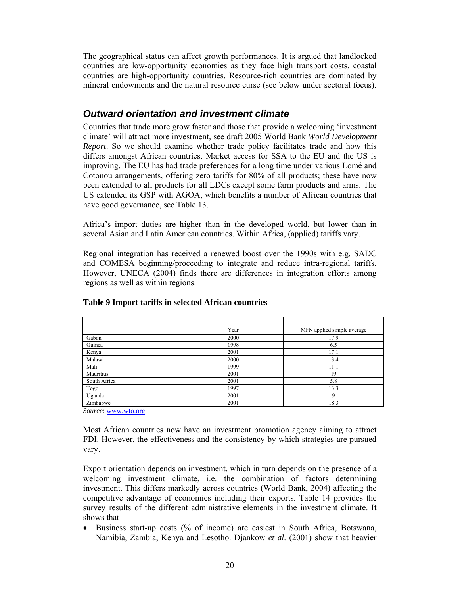The geographical status can affect growth performances. It is argued that landlocked countries are low-opportunity economies as they face high transport costs, coastal countries are high-opportunity countries. Resource-rich countries are dominated by mineral endowments and the natural resource curse (see below under sectoral focus).

### *Outward orientation and investment climate*

Countries that trade more grow faster and those that provide a welcoming 'investment climate' will attract more investment, see draft 2005 World Bank *World Development Report*. So we should examine whether trade policy facilitates trade and how this differs amongst African countries. Market access for SSA to the EU and the US is improving. The EU has had trade preferences for a long time under various Lomé and Cotonou arrangements, offering zero tariffs for 80% of all products; these have now been extended to all products for all LDCs except some farm products and arms. The US extended its GSP with AGOA, which benefits a number of African countries that have good governance, see Table 13.

Africa's import duties are higher than in the developed world, but lower than in several Asian and Latin American countries. Within Africa, (applied) tariffs vary.

Regional integration has received a renewed boost over the 1990s with e.g. SADC and COMESA beginning/proceeding to integrate and reduce intra-regional tariffs. However, UNECA (2004) finds there are differences in integration efforts among regions as well as within regions.

|              | Year | MFN applied simple average |
|--------------|------|----------------------------|
| Gabon        | 2000 | 17.9                       |
| Guinea       | 1998 | 6.5                        |
| Kenya        | 2001 | 17.1                       |
| Malawi       | 2000 | 13.4                       |
| Mali         | 1999 | 11.1                       |
| Mauritius    | 2001 | 19                         |
| South Africa | 2001 | 5.8                        |
| Togo         | 1997 | 13.3                       |
| Uganda       | 2001 | 9                          |
| Zimbabwe     | 2001 | 18.3                       |

#### **Table 9 Import tariffs in selected African countries**

*Source*: www.wto.org

Most African countries now have an investment promotion agency aiming to attract FDI. However, the effectiveness and the consistency by which strategies are pursued vary.

Export orientation depends on investment, which in turn depends on the presence of a welcoming investment climate, i.e. the combination of factors determining investment. This differs markedly across countries (World Bank, 2004) affecting the competitive advantage of economies including their exports. Table 14 provides the survey results of the different administrative elements in the investment climate. It shows that

• Business start-up costs (% of income) are easiest in South Africa, Botswana, Namibia, Zambia, Kenya and Lesotho. Djankow *et al*. (2001) show that heavier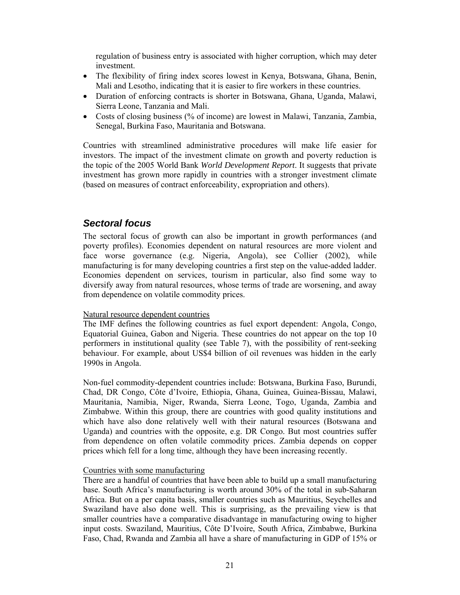regulation of business entry is associated with higher corruption, which may deter investment.

- The flexibility of firing index scores lowest in Kenya, Botswana, Ghana, Benin, Mali and Lesotho, indicating that it is easier to fire workers in these countries.
- Duration of enforcing contracts is shorter in Botswana, Ghana, Uganda, Malawi, Sierra Leone, Tanzania and Mali.
- Costs of closing business (% of income) are lowest in Malawi, Tanzania, Zambia, Senegal, Burkina Faso, Mauritania and Botswana.

Countries with streamlined administrative procedures will make life easier for investors. The impact of the investment climate on growth and poverty reduction is the topic of the 2005 World Bank *World Development Report*. It suggests that private investment has grown more rapidly in countries with a stronger investment climate (based on measures of contract enforceability, expropriation and others).

### *Sectoral focus*

The sectoral focus of growth can also be important in growth performances (and poverty profiles). Economies dependent on natural resources are more violent and face worse governance (e.g. Nigeria, Angola), see Collier (2002), while manufacturing is for many developing countries a first step on the value-added ladder. Economies dependent on services, tourism in particular, also find some way to diversify away from natural resources, whose terms of trade are worsening, and away from dependence on volatile commodity prices.

#### Natural resource dependent countries

The IMF defines the following countries as fuel export dependent: Angola, Congo, Equatorial Guinea, Gabon and Nigeria. These countries do not appear on the top 10 performers in institutional quality (see Table 7), with the possibility of rent-seeking behaviour. For example, about US\$4 billion of oil revenues was hidden in the early 1990s in Angola.

Non-fuel commodity-dependent countries include: Botswana, Burkina Faso, Burundi, Chad, DR Congo, Côte d'Ivoire, Ethiopia, Ghana, Guinea, Guinea-Bissau, Malawi, Mauritania, Namibia, Niger, Rwanda, Sierra Leone, Togo, Uganda, Zambia and Zimbabwe. Within this group, there are countries with good quality institutions and which have also done relatively well with their natural resources (Botswana and Uganda) and countries with the opposite, e.g. DR Congo. But most countries suffer from dependence on often volatile commodity prices. Zambia depends on copper prices which fell for a long time, although they have been increasing recently.

#### Countries with some manufacturing

There are a handful of countries that have been able to build up a small manufacturing base. South Africa's manufacturing is worth around 30% of the total in sub-Saharan Africa. But on a per capita basis, smaller countries such as Mauritius, Seychelles and Swaziland have also done well. This is surprising, as the prevailing view is that smaller countries have a comparative disadvantage in manufacturing owing to higher input costs. Swaziland, Mauritius, Côte D'Ivoire, South Africa, Zimbabwe, Burkina Faso, Chad, Rwanda and Zambia all have a share of manufacturing in GDP of 15% or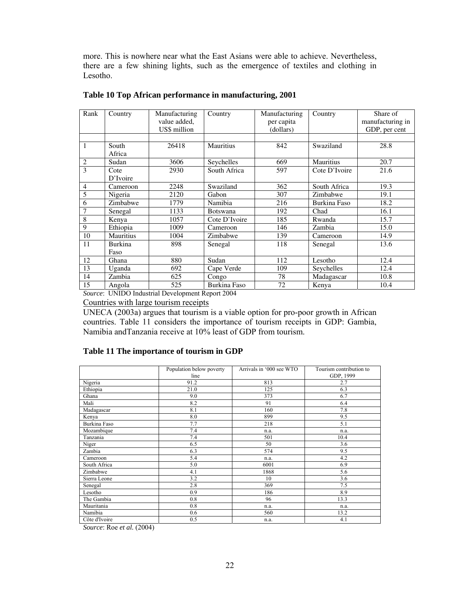more. This is nowhere near what the East Asians were able to achieve. Nevertheless, there are a few shining lights, such as the emergence of textiles and clothing in Lesotho.

| Rank | Country          | Manufacturing<br>value added,<br>US\$ million | Country             | Manufacturing<br>per capita<br>(dollars) | Country          | Share of<br>manufacturing in<br>GDP, per cent |
|------|------------------|-----------------------------------------------|---------------------|------------------------------------------|------------------|-----------------------------------------------|
|      |                  |                                               |                     |                                          |                  |                                               |
| 1    | South<br>Africa  | 26418                                         | <b>Mauritius</b>    | 842                                      | Swaziland        | 28.8                                          |
| 2    | Sudan            | 3606                                          | Seychelles          | 669                                      | <b>Mauritius</b> | 20.7                                          |
| 3    | Cote<br>D'Ivoire | 2930                                          | South Africa        | 597                                      | Cote D'Ivoire    | 21.6                                          |
| 4    | Cameroon         | 2248                                          | Swaziland           | 362                                      | South Africa     | 19.3                                          |
| 5    | Nigeria          | 2120                                          | Gabon               | 307                                      | Zimbabwe         | 19.1                                          |
| 6    | Zimbabwe         | 1779                                          | Namibia             | 216                                      | Burkina Faso     | 18.2                                          |
| 7    | Senegal          | 1133                                          | <b>Botswana</b>     | 192                                      | Chad             | 16.1                                          |
| 8    | Kenya            | 1057                                          | Cote D'Ivoire       | 185                                      | Rwanda           | 15.7                                          |
| 9    | Ethiopia         | 1009                                          | Cameroon            | 146                                      | Zambia           | 15.0                                          |
| 10   | <b>Mauritius</b> | 1004                                          | Zimbabwe            | 139                                      | Cameroon         | 14.9                                          |
| 11   | Burkina<br>Faso  | 898                                           | Senegal             | 118                                      | Senegal          | 13.6                                          |
| 12   | Ghana            | 880                                           | Sudan               | 112                                      | Lesotho          | 12.4                                          |
| 13   | Uganda           | 692                                           | Cape Verde          | 109                                      | Seychelles       | 12.4                                          |
| 14   | Zambia           | 625                                           | Congo               | 78                                       | Madagascar       | 10.8                                          |
| 15   | Angola           | 525                                           | <b>Burkina Faso</b> | 72                                       | Kenya            | 10.4                                          |

#### **Table 10 Top African performance in manufacturing, 2001**

*Source*: UNIDO Industrial Development Report 2004

Countries with large tourism receipts

UNECA (2003a) argues that tourism is a viable option for pro-poor growth in African countries. Table 11 considers the importance of tourism receipts in GDP: Gambia, Namibia andTanzania receive at 10% least of GDP from tourism.

#### **Table 11 The importance of tourism in GDP**

|               | Population below poverty | Arrivals in '000 see WTO | Tourism contribution to |
|---------------|--------------------------|--------------------------|-------------------------|
|               | line                     |                          | GDP, 1999               |
| Nigeria       | 91.2                     | 813                      | 2.7                     |
| Ethiopia      | 21.0                     | 125                      | 6.3                     |
| Ghana         | 9.0                      | 373                      | 6.7                     |
| Mali          | 8.2                      | 91                       | 6.4                     |
| Madagascar    | 8.1                      | 160                      | 7.8                     |
| Kenya         | 8.0                      | 899                      | 9.5                     |
| Burkina Faso  | 7.7                      | 218                      | 5.1                     |
| Mozambique    | 7.4                      | n.a.                     | n.a.                    |
| Tanzania      | 7.4                      | 501                      | 10.4                    |
| Niger         | 6.5                      | 50                       | 3.6                     |
| Zambia        | 6.3                      | 574                      | 9.5                     |
| Cameroon      | 5.4                      | n.a.                     | 4.2                     |
| South Africa  | 5.0                      | 6001                     | 6.9                     |
| Zimbabwe      | 4.1                      | 1868                     | 5.6                     |
| Sierra Leone  | 3.2                      | 10                       | 3.6                     |
| Senegal       | 2.8                      | 369                      | 7.5                     |
| Lesotho       | 0.9                      | 186                      | 8.9                     |
| The Gambia    | 0.8                      | 96                       | 13.3                    |
| Mauritania    | 0.8                      | n.a.                     | n.a.                    |
| Namibia       | 0.6                      | 560                      | 13.2                    |
| Côte d'Ivoire | 0.5                      | n.a.                     | 4.1                     |

*Source*: Roe *et al.* (2004)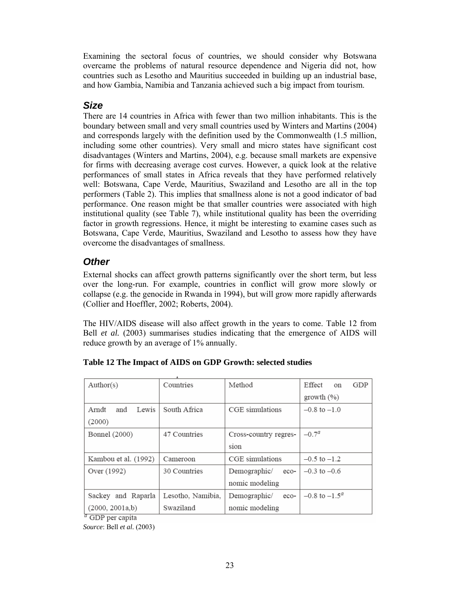Examining the sectoral focus of countries, we should consider why Botswana overcame the problems of natural resource dependence and Nigeria did not, how countries such as Lesotho and Mauritius succeeded in building up an industrial base, and how Gambia, Namibia and Tanzania achieved such a big impact from tourism.

### *Size*

There are 14 countries in Africa with fewer than two million inhabitants. This is the boundary between small and very small countries used by Winters and Martins (2004) and corresponds largely with the definition used by the Commonwealth (1.5 million, including some other countries). Very small and micro states have significant cost disadvantages (Winters and Martins, 2004), e.g. because small markets are expensive for firms with decreasing average cost curves. However, a quick look at the relative performances of small states in Africa reveals that they have performed relatively well: Botswana, Cape Verde, Mauritius, Swaziland and Lesotho are all in the top performers (Table 2). This implies that smallness alone is not a good indicator of bad performance. One reason might be that smaller countries were associated with high institutional quality (see Table 7), while institutional quality has been the overriding factor in growth regressions. Hence, it might be interesting to examine cases such as Botswana, Cape Verde, Mauritius, Swaziland and Lesotho to assess how they have overcome the disadvantages of smallness.

### *Other*

External shocks can affect growth patterns significantly over the short term, but less over the long-run. For example, countries in conflict will grow more slowly or collapse (e.g. the genocide in Rwanda in 1994), but will grow more rapidly afterwards (Collier and Hoeffler, 2002; Roberts, 2004).

The HIV/AIDS disease will also affect growth in the years to come. Table 12 from Bell *et al.* (2003) summarises studies indicating that the emergence of AIDS will reduce growth by an average of 1% annually.

| Author(s)             | Countries         | Method                | Effect<br>GDP<br>on      |  |  |  |  |
|-----------------------|-------------------|-----------------------|--------------------------|--|--|--|--|
|                       |                   |                       | growth (%)               |  |  |  |  |
| Arndt<br>Lewis<br>and | South Africa      | CGE simulations       | $-0.8$ to $-1.0$         |  |  |  |  |
| (2000)                |                   |                       |                          |  |  |  |  |
| Bonnel (2000)         | 47 Countries      | Cross-country regres- | $-0.7a$                  |  |  |  |  |
|                       |                   | sion                  |                          |  |  |  |  |
| Kambou et al. (1992)  | Cameroon          | CGE simulations       | $-0.5$ to $-1.2$         |  |  |  |  |
| Over (1992)           | 30 Countries      | Demographic/<br>eco-  | $-0.3$ to $-0.6$         |  |  |  |  |
|                       |                   | nomic modeling        |                          |  |  |  |  |
| Sackey and Raparla    | Lesotho, Namibia, | Demographic/<br>eco-  | $-0.8$ to $-1.5^{\circ}$ |  |  |  |  |
| (2000, 2001a, b)      | Swaziland         | nomic modeling        |                          |  |  |  |  |
| $a$ GDD per capita    |                   |                       |                          |  |  |  |  |

#### **Table 12 The Impact of AIDS on GDP Growth: selected studies**

GDP per capita *Source*: Bell *et al.* (2003)

23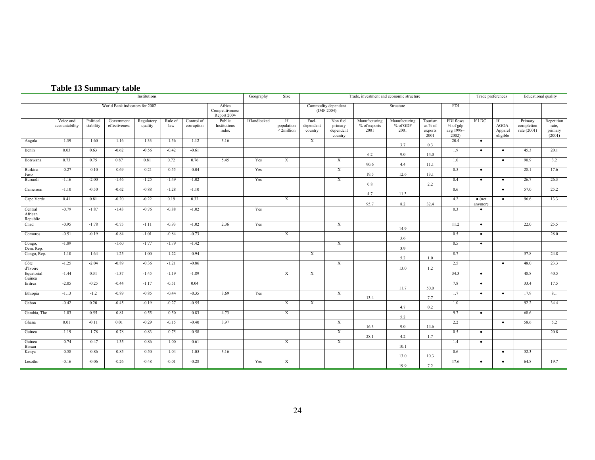|  | <b>Table 13 Summary table</b> |  |
|--|-------------------------------|--|

|                                | Institutions                |                        |                                |                       |                |                          |                                          | Geography     | Size                             | Trade, investment and economic structure |                                             |                                       |                                     |                                       |                                               | Trade preferences         |                                          | Educational quality                  |                                          |
|--------------------------------|-----------------------------|------------------------|--------------------------------|-----------------------|----------------|--------------------------|------------------------------------------|---------------|----------------------------------|------------------------------------------|---------------------------------------------|---------------------------------------|-------------------------------------|---------------------------------------|-----------------------------------------------|---------------------------|------------------------------------------|--------------------------------------|------------------------------------------|
|                                |                             |                        | World Bank indicators for 2002 |                       |                |                          | Africa<br>Competitiveness<br>Report 2004 |               |                                  |                                          | Commodity dependent<br>(IMF 2004)           |                                       | Structure                           |                                       | <b>FDI</b>                                    |                           |                                          |                                      |                                          |
|                                | Voice and<br>accountability | Political<br>stability | Government<br>effectiveness    | Regulatory<br>quality | Rule of<br>law | Control of<br>corruption | Public<br>Institutions<br>index          | If landlocked | If<br>population<br>$<$ 2million | Fuel-<br>dependent<br>country            | Non fuel<br>primary<br>dependent<br>country | Manufacturing<br>% of exports<br>2001 | Manufacturing<br>$%$ of GDP<br>2001 | Tourism<br>as % of<br>exports<br>2001 | FDI flows<br>$%$ of gdp<br>avg 1998-<br>2002) | If LDC                    | If<br><b>AGOA</b><br>Apparel<br>eligible | Primary<br>completion<br>rate (2001) | Repetition<br>rate,<br>primary<br>(2001) |
| Angola                         | $-1.39$                     | $-1.60$                | $-1.16$                        | $-1.33$               | $-1.56$        | $-1.12$                  | 3.16                                     |               |                                  | $\overline{X}$                           |                                             |                                       | 3.7                                 | 0.3                                   | 20.4                                          | $\bullet$                 |                                          |                                      |                                          |
| Benin                          | 0.03                        | 0.63                   | $-0.62$                        | $-0.56$               | $-0.42$        | $-0.61$                  |                                          |               |                                  |                                          |                                             | 6.2                                   | 9.0                                 | 14.0                                  | 1.9                                           | $\bullet$                 | $\bullet$                                | 45.3                                 | 20.1                                     |
| Botswana                       | 0.73                        | 0.75                   | 0.87                           | 0.81                  | 0.72           | 0.76                     | 5.45                                     | Yes           | X                                |                                          | $\mathbf{x}$                                | 90.6                                  | 4.4                                 | 11.1                                  | 1.0                                           |                           | $\bullet$                                | 90.9                                 | 3.2                                      |
| Burkina<br>Faso                | $-0.27$                     | $-0.10$                | $-0.69$                        | $-0.21$               | $-0.55$        | $-0.04$                  |                                          | Yes           |                                  |                                          | $\overline{X}$                              | 19.5                                  | 12.6                                | 13.1                                  | 0.5                                           | $\bullet$                 |                                          | 28.1                                 | 17.6                                     |
| Burundi                        | $-1.16$                     | $-2.00$                | $-1.46$                        | $-1.25$               | $-1.49$        | $-1.02$                  |                                          | Yes           |                                  |                                          | $\boldsymbol{\mathrm{X}}$                   | 0.8                                   |                                     | 2.2                                   | 0.4                                           | $\bullet$                 | $\bullet$                                | 26.7                                 | 26.3                                     |
| Cameroon                       | $-1.10$                     | $-0.50$                | $-0.62$                        | $-0.88$               | $-1.28$        | $-1.10$                  |                                          |               |                                  |                                          |                                             | 4.7                                   | 11.3                                |                                       | 0.6                                           |                           | $\bullet$                                | 57.0                                 | 25.2                                     |
| Cape Verde                     | 0.41                        | 0.81                   | $-0.20$                        | $-0.22$               | 0.19           | 0.33                     |                                          |               | X                                |                                          |                                             | 95.7                                  | 8.2                                 | 32.4                                  | 4.2                                           | $\bullet$ (not<br>anymore | $\bullet$                                | 96.6                                 | 13.3                                     |
| Central<br>African<br>Republic | $-0.79$                     | $-1.87$                | $-1.43$                        | $-0.76$               | $-0.88$        | $-1.02$                  |                                          | Yes           |                                  |                                          |                                             |                                       |                                     |                                       | 0.3                                           | $\bullet$                 |                                          |                                      |                                          |
| Chad                           | $-0.95$                     | $-1.78$                | $-0.75$                        | $-1.11$               | $-0.93$        | $-1.02$                  | 2.36                                     | Yes           |                                  |                                          | X                                           |                                       | 14.9                                |                                       | 11.2                                          | $\bullet$                 |                                          | 22.0                                 | 25.5                                     |
| Comoros                        | $-0.51$                     | $-0.19$                | $-0.84$                        | $-1.01$               | $-0.84$        | $-0.73$                  |                                          |               | X                                |                                          |                                             |                                       | 3.6                                 |                                       | 0.5                                           | $\bullet$                 |                                          |                                      | 28.0                                     |
| Congo,<br>Dem. Rep.            | $-1.89$                     |                        | $-1.60$                        | $-1.77$               | $-1.79$        | $-1.42$                  |                                          |               |                                  |                                          | $\mathbf{x}$                                |                                       | 3.9                                 |                                       | 0.5                                           | $\bullet$                 |                                          |                                      |                                          |
| Congo, Rep.                    | $-1.10$                     | $-1.64$                | $-1.25$                        | $-1.00$               | $-1.22$        | $-0.94$                  |                                          |               |                                  | X                                        |                                             |                                       | 5.2                                 | 1.0                                   | 8.7                                           |                           |                                          | 57.8                                 | 24.8                                     |
| Côte<br>d'Ivoire               | $-1.25$                     | $-2.04$                | $-0.89$                        | $-0.36$               | $-1.21$        | $-0.86$                  |                                          |               |                                  |                                          | X                                           |                                       | 13.0                                | 1.2                                   | 2.5                                           |                           | $\bullet$                                | 48.0                                 | 23.3                                     |
| Equatorial<br>Guinea           | $-1.44$                     | 0.31                   | $-1.37$                        | $-1.45$               | $-1.19$        | $-1.89$                  |                                          |               | X                                | X                                        |                                             |                                       |                                     |                                       | 34.3                                          | $\bullet$                 |                                          | 48.8                                 | 40.5                                     |
| Eritrea                        | $-2.05$                     | $-0.25$                | $-0.44$                        | $-1.17$               | $-0.51$        | 0.04                     |                                          |               |                                  |                                          |                                             |                                       | 11.7                                | 50.0                                  | 7.8                                           | $\bullet$                 |                                          | 33.4                                 | 17.5                                     |
| Ethiopia                       | $-1.13$                     | $-1.2$                 | $-0.89$                        | $-0.85$               | $-0.44$        | $-0.35$                  | 3.69                                     | Yes           |                                  |                                          | $\overline{X}$                              | 13.4                                  |                                     | 7.7                                   | 1.7                                           | $\bullet$                 | $\bullet$                                | 17.9                                 | 8.1                                      |
| Gabon                          | $-0.42$                     | 0.20                   | $-0.45$                        | $-0.19$               | $-0.27$        | $-0.55$                  |                                          |               | X                                | X                                        |                                             |                                       | 4.7                                 | 0.2                                   | 1.0                                           |                           |                                          | 92.2                                 | 34.4                                     |
| Gambia, The                    | $-1.03$                     | 0.55                   | $-0.81$                        | $-0.55$               | $-0.50$        | $-0.83$                  | 4.73                                     |               | X                                |                                          |                                             |                                       | 5.2                                 |                                       | 9.7                                           | $\bullet$                 |                                          | 68.6                                 |                                          |
| Ghana                          | 0.01                        | $-0.11$                | 0.01                           | $-0.29$               | $-0.15$        | $-0.40$                  | 3.97                                     |               |                                  |                                          | X                                           | 16.3                                  | 9.0                                 | 14.6                                  | 2.2                                           |                           | $\bullet$                                | 58.6                                 | 5.2                                      |
| Guinea                         | $-1.19$                     | $-1.78$                | $-0.78$                        | $-0.83$               | $-0.75$        | $-0.58$                  |                                          |               |                                  |                                          | $\overline{X}$                              | 28.1                                  | 4.2                                 | 1.7                                   | 0.5                                           | $\bullet$                 |                                          |                                      | 20.8                                     |
| Guinea-<br>Bissau              | $-0.74$                     | $-0.47$                | $-1.35$                        | $-0.86$               | $-1.00$        | $-0.61$                  |                                          |               | $\mathbf{X}$                     |                                          | $\boldsymbol{\mathrm{X}}$                   |                                       | 10.1                                |                                       | 1.4                                           | $\bullet$                 |                                          |                                      |                                          |
| Kenya                          | $-0.58$                     | $-0.86$                | $-0.85$                        | $-0.50$               | $-1.04$        | $-1.05$                  | 3.16                                     |               |                                  |                                          |                                             |                                       | 13.0                                | 10.3                                  | 0.6                                           |                           | $\bullet$                                | 52.3                                 |                                          |
| Lesotho                        | $-0.16$                     | $-0.06$                | $-0.26$                        | $-0.48$               | $-0.01$        | $-0.28$                  |                                          | Yes           | X                                |                                          |                                             |                                       | 19.9                                | 7.2                                   | 17.6                                          | $\bullet$                 | $\bullet$                                | 64.8                                 | 19.7                                     |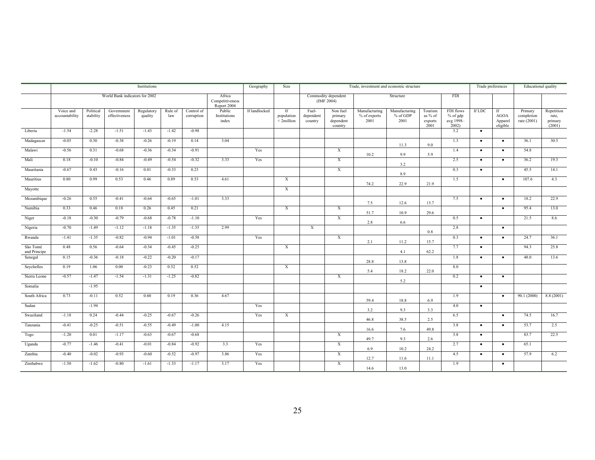|                          | Institutions                |                        |                                |                       |                |                          |                                          | Geography     | Size                                | Trade, investment and economic structure |                                             |                                       |                                     |                                       |                                               | Trade preferences |                                          | Educational quality                  |                                          |
|--------------------------|-----------------------------|------------------------|--------------------------------|-----------------------|----------------|--------------------------|------------------------------------------|---------------|-------------------------------------|------------------------------------------|---------------------------------------------|---------------------------------------|-------------------------------------|---------------------------------------|-----------------------------------------------|-------------------|------------------------------------------|--------------------------------------|------------------------------------------|
|                          |                             |                        | World Bank indicators for 2002 |                       |                |                          | Africa<br>Competitiveness<br>Report 2004 |               |                                     |                                          | Commodity dependent<br>(IMF 2004)           |                                       | Structure                           |                                       | <b>FDI</b>                                    |                   |                                          |                                      |                                          |
|                          | Voice and<br>accountability | Political<br>stability | Government<br>effectiveness    | Regulatory<br>quality | Rule of<br>law | Control of<br>corruption | Public<br>Institutions<br>index          | If landlocked | If<br>population<br>$\leq$ 2million | Fuel-<br>dependent<br>country            | Non fuel<br>primary<br>dependent<br>country | Manufacturing<br>% of exports<br>2001 | Manufacturing<br>$%$ of GDP<br>2001 | Tourism<br>as % of<br>exports<br>2001 | FDI flows<br>$%$ of gdp<br>avg 1998-<br>2002) | <b>If LDC</b>     | If<br><b>AGOA</b><br>Apparel<br>eligible | Primary<br>completion<br>rate (2001) | Repetition<br>rate,<br>primary<br>(2001) |
| Liberia                  | $-1.54$                     | $-2.28$                | $-1.51$                        | $-1.43$               | $-1.42$        | $-0.98$                  |                                          |               |                                     |                                          |                                             |                                       |                                     |                                       | 3.2                                           | $\bullet$         |                                          |                                      |                                          |
| Madagascar               | $-0.05$                     | 0.30                   | $-0.38$                        | $-0.26$               | $-0.19$        | 0.14                     | 3.04                                     |               |                                     |                                          |                                             |                                       | 11.3                                | 9.0                                   | 1.3                                           | $\bullet$         | $\bullet$                                | 36.1                                 | 30.5                                     |
| Malawi                   | $-0.56$                     | 0.31                   | $-0.68$                        | $-0.36$               | $-0.34$        | $-0.91$                  |                                          | Yes           |                                     |                                          | $\overline{X}$                              | 10.2                                  | 9.9                                 | 5.9                                   | 1.4                                           | $\bullet$         | $\bullet$                                | 54.8                                 |                                          |
| Mali                     | 0.18                        | $-0.10$                | $-0.84$                        | $-0.49$               | $-0.54$        | $-0.32$                  | 3.33                                     | Yes           |                                     |                                          | X                                           |                                       | 3.2                                 |                                       | 2.5                                           | $\bullet$         | $\bullet$                                | 36.2                                 | 19.3                                     |
| Mauritania               | $-0.67$                     | 0.43                   | $-0.16$                        | 0.01                  | $-0.33$        | 0.23                     |                                          |               |                                     |                                          | X                                           |                                       | 8.9                                 |                                       | 0.3                                           | $\bullet$         |                                          | 45.5                                 | 14.1                                     |
| Mauritius                | 0.80                        | 0.99                   | 0.53                           | 0.46                  | 0.89           | 0.53                     | 4.61                                     |               | X                                   |                                          |                                             | 74.2                                  | 22.9                                | 21.9                                  | 1.5                                           |                   | $\bullet$                                | 107.6                                | 4.3                                      |
| Mayotte                  |                             |                        |                                |                       |                |                          |                                          |               | $\overline{X}$                      |                                          |                                             |                                       |                                     |                                       |                                               |                   |                                          |                                      |                                          |
| Mozambique               | $-0.26$                     | 0.55                   | $-0.41$                        | $-0.64$               | $-0.65$        | $-1.01$                  | 3.33                                     |               |                                     |                                          |                                             | 7.5                                   | 12.6                                | 13.7                                  | 7.5                                           | $\bullet$         | $\bullet$                                | 18.2                                 | 22.9                                     |
| Namibia                  | 0.33                        | 0.46                   | 0.18                           | 0.26                  | 0.45           | 0.21                     |                                          |               | $\overline{X}$                      |                                          | $\overline{X}$                              | 51.7                                  | 10.9                                | 29.6                                  |                                               |                   | $\bullet$                                | 95.4                                 | 13.0                                     |
| Niger                    | $-0.18$                     | $-0.30$                | $-0.79$                        | $-0.68$               | $-0.78$        | $-1.10$                  |                                          | Yes           |                                     |                                          | $\mathbf{x}$                                | 2.8                                   | 6.6                                 |                                       | 0.5                                           | $\bullet$         |                                          | 21.5                                 | 8.6                                      |
| Nigeria                  | $-0.70$                     | $-1.49$                | $-1.12$                        | $-1.18$               | $-1.35$        | $-1.35$                  | 2.99                                     |               |                                     | $\overline{X}$                           |                                             |                                       |                                     | 0.8                                   | 2.8                                           |                   | $\bullet$                                |                                      |                                          |
| Rwanda                   | $-1.41$                     | $-1.35$                | $-0.82$                        | $-0.94$               | $-1.01$        | $-0.58$                  |                                          | Yes           |                                     |                                          | $\boldsymbol{\mathrm{X}}$                   | 2.1                                   | 11.2                                | 15.7                                  | 0.3                                           | $\bullet$         | $\bullet$                                | 24.7                                 | 36.1                                     |
| São Tomé<br>and Principe | 0.48                        | 0.56                   | $-0.64$                        | $-0.34$               | $-0.45$        | $-0.25$                  |                                          |               | X                                   |                                          |                                             |                                       | 4.1                                 | 62.2                                  | 7.7                                           | $\bullet$         |                                          | 94.3                                 | 25.8                                     |
| Senegal                  | 0.15                        | $-0.36$                | $-0.18$                        | $-0.22$               | $-0.20$        | $-0.17$                  |                                          |               |                                     |                                          |                                             | 28.8                                  | 13.8                                |                                       | 1.8                                           | $\bullet$         | $\bullet$                                | 48.0                                 | 13.6                                     |
| Seychelles               | 0.19                        | 1.06                   | 0.00                           | $-0.23$               | 0.52           | 0.52                     |                                          |               | $\overline{X}$                      |                                          |                                             | 5.4                                   | 18.2                                | 22.0                                  | 8.0                                           |                   |                                          |                                      |                                          |
| Sierra Leone             | $-0.57$                     | $-1.47$                | $-1.54$                        | $-1.31$               | $-1.25$        | $-0.82$                  |                                          |               |                                     |                                          | $\mathbf{x}$                                |                                       | 5.2                                 |                                       | 0.2                                           | $\bullet$         | $\bullet$                                |                                      |                                          |
| Somalia                  |                             | $-1.95$                |                                |                       |                |                          |                                          |               |                                     |                                          |                                             |                                       |                                     |                                       |                                               | $\bullet$         |                                          |                                      |                                          |
| South Africa             | 0.73                        | $-0.11$                | 0.52                           | 0.60                  | 0.19           | 0.36                     | 4.67                                     |               |                                     |                                          |                                             | 59.4                                  | 18.8                                | 6.9                                   | 1.9                                           |                   | $\bullet$                                | 90.1(2000)                           | 8.8(2001)                                |
| Sudan                    |                             | $-1.94$                |                                |                       |                |                          |                                          | Yes           |                                     |                                          |                                             |                                       |                                     |                                       | 4.0                                           | $\bullet$         |                                          |                                      |                                          |
| Swaziland                | $-1.18$                     | 0.24                   | $-0.44$                        | $-0.25$               | $-0.67$        | $-0.26$                  |                                          | Yes           | $\overline{X}$                      |                                          |                                             | 3.2                                   | 9.3<br>38.5                         | 3.3<br>2.5                            | 6.5                                           |                   | $\bullet$                                | 74.5                                 | 16.7                                     |
| Tanzania                 | $-0.41$                     | $-0.25$                | $-0.51$                        | $-0.55$               | $-0.49$        | $-1.00$                  | 4.15                                     |               |                                     |                                          |                                             | 46.8                                  |                                     |                                       | 3.8                                           | $\bullet$         | $\bullet$                                | 53.7                                 | 2.5                                      |
| Togo                     | $-1.20$                     | 0.01                   | $-1.17$                        | $-0.63$               | $-0.67$        | $-0.68$                  |                                          |               |                                     |                                          | $\boldsymbol{\mathrm{X}}$                   | 16.6                                  | 7.6                                 | 49.8                                  | 3.8                                           | $\bullet$         |                                          | 83.7                                 | 22.5                                     |
| Uganda                   | $-0.77$                     | $-1.46$                | $-0.41$                        | $-0.01$               | $-0.84$        | $-0.92$                  | 3.3                                      | Yes           |                                     |                                          | $\boldsymbol{\mathrm{X}}$                   | 49.7                                  | 9.3                                 | 2.6                                   | 2.7                                           | $\bullet$         | $\bullet$                                | 65.1                                 |                                          |
| Zambia                   | $-0.40$                     | $-0.02$                | $-0.93$                        | $-0.60$               | $-0.52$        | $-0.97$                  | 3.86                                     | Yes           |                                     |                                          | $\mathbf{X}$                                | 6.9                                   | 10.2                                | 24.2                                  | 4.5                                           | $\bullet$         | $\bullet$                                | 57.9                                 | 6.2                                      |
| Zimbabwe                 | $-1.50$                     | $-1.62$                | $-0.80$                        | $-1.61$               | $-1.33$        | $-1.17$                  | 3.17                                     | Yes           |                                     |                                          | $\mathbf{x}$                                | 12.7                                  | 11.6                                | 11.1                                  | 1.9                                           |                   | $\bullet$                                |                                      |                                          |
|                          |                             |                        |                                |                       |                |                          |                                          |               |                                     |                                          |                                             | 14.6                                  | 13.0                                |                                       |                                               |                   |                                          |                                      |                                          |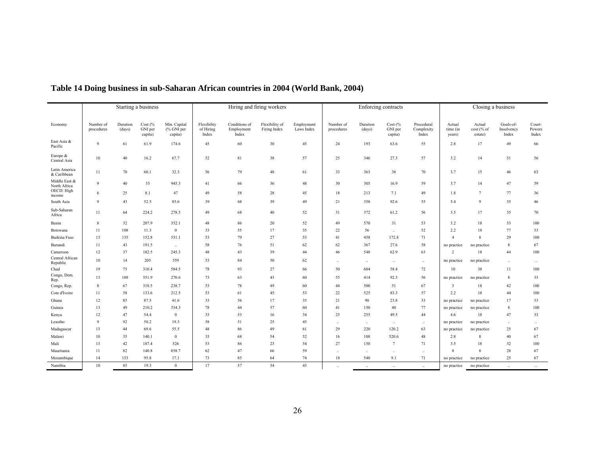|                               | Starting a business     |                    |                                |                                       |                                   |                                      | Hiring and firing workers      |                          |                         |                    | Enforcing contracts                      |                                   |                              | Closing a business              |                                  |                             |
|-------------------------------|-------------------------|--------------------|--------------------------------|---------------------------------------|-----------------------------------|--------------------------------------|--------------------------------|--------------------------|-------------------------|--------------------|------------------------------------------|-----------------------------------|------------------------------|---------------------------------|----------------------------------|-----------------------------|
|                               |                         |                    |                                |                                       |                                   |                                      |                                |                          |                         |                    |                                          |                                   |                              |                                 |                                  |                             |
| Economy                       | Number of<br>procedures | Duration<br>(days) | Cost $%$<br>GNI per<br>capita) | Min. Capital<br>(% GNI per<br>capita) | Flexibility<br>of Hiring<br>Index | Conditions of<br>Employment<br>Index | Flexibility of<br>Firing Index | Employment<br>Laws Index | Number of<br>procedures | Duration<br>(days) | Cost $\frac{6}{6}$<br>GNI per<br>capita) | Procedural<br>Complexity<br>Index | Actual<br>time (in<br>years) | Actual<br>cost (% of<br>estate) | Goals-of-<br>Insolvency<br>Index | Court-<br>Powers<br>Index   |
| East Asia &<br>Pacific        | 9                       | 61                 | 61.9                           | 174.6                                 | 45                                | 60                                   | 30                             | 45                       | 24                      | 193                | 63.6                                     | 55                                | 2.8                          | 17                              | 49                               | 66                          |
| Europe &<br>Central Asia      | 10                      | 40                 | 16.2                           | 67.7                                  | 52                                | 81                                   | 38                             | 57                       | 25                      | 346                | 27.3                                     | 57                                | 3.2                          | 14                              | 51                               | 56                          |
| Latin America<br>& Caribbean  | 11                      | 70                 | 60.1                           | 32.3                                  | 56                                | 79                                   | 48                             | 61                       | 33                      | 363                | 38                                       | 70                                | 3.7                          | 15                              | 46                               | 63                          |
| Middle East &<br>North Africa | $\mathbf{Q}$            | 40                 | 53                             | 945.3                                 | 41                                | 66                                   | 36                             | 48                       | 30                      | 305                | 16.9                                     | 59                                | 3.7                          | 14                              | 47                               | 59                          |
| OECD: High<br>income          | 6                       | 25                 | 8.1                            | 47                                    | 49                                | 58                                   | 28                             | 45                       | 18                      | 213                | 7.1                                      | 49                                | 1.8                          | $7\phantom{.0}$                 | 77                               | 36                          |
| South Asia                    | $\overline{9}$          | 43                 | 52.5                           | 85.6                                  | 39                                | 68                                   | 39                             | 49                       | 21                      | 358                | 92.6                                     | 55                                | 5.4                          | 9                               | 35                               | 46                          |
| Sub-Saharan<br>Africa         | 11                      | 64                 | 224.2                          | 278.5                                 | 49                                | 68                                   | 40                             | 52                       | 31                      | 372                | 61.2                                     | 56                                | 3.5                          | 17                              | 35                               | 70                          |
| Benin                         | 8                       | 32                 | 207.9                          | 352.1                                 | 48                                | 86                                   | 20                             | 52                       | 49                      | 570                | 31                                       | 53                                | 3.2                          | 18                              | 33                               | 100                         |
| Botswana                      | 11                      | 108                | 11.3                           | $\mathbf{0}$                          | 33                                | 55                                   | 17                             | 35                       | 22                      | 56                 | $\ddot{\phantom{a}}$                     | 52                                | 2.2                          | 18                              | 77                               | 33                          |
| Burkina Faso                  | 13                      | 135                | 152.8                          | 531.1                                 | 53                                | 79                                   | 27                             | 53                       | 41                      | 458                | 172.8                                    | 71                                | $\overline{4}$               | 8                               | 29                               | 100                         |
| Burundi                       | 11                      | 43                 | 191.5                          | $\ddotsc$                             | 58                                | 76                                   | 51                             | 62                       | 62                      | 367                | 27.6                                     | 58                                | no practice                  | no practice                     | 8                                | 67                          |
| Cameroon                      | 12                      | 37                 | 182.5                          | 245.3                                 | 48                                | 43                                   | 39                             | 44                       | 46                      | 548                | 62.9                                     | 63                                | 2                            | 18                              | 44                               | 100                         |
| Central African<br>Republic   | 10                      | 14                 | 205                            | 559                                   | 53                                | 84                                   | 50                             | 62                       | $\ldots$                | $\ldots$           | $\ldots$                                 | $\ldots$                          | no practice                  | no practice                     | $\ddotsc$                        | $\mathcal{L}_{\mathcal{F}}$ |
| Chad                          | 19                      | 75                 | 310.4                          | 584.5                                 | 78                                | 93                                   | 27                             | 66                       | 50                      | 604                | 58.4                                     | 72                                | 10                           | 38                              | 11                               | 100                         |
| Congo, Dem.<br>Rep.           | 13                      | 188                | 551.9                          | 270.6                                 | 73                                | 63                                   | 43                             | 60                       | 55                      | 414                | 92.3                                     | 56                                | no practice                  | no practice                     | 8                                | 33                          |
| Congo, Rep.                   | 8                       | 67                 | 318.5                          | 238.7                                 | 53                                | 78                                   | 49                             | 60                       | 44                      | 500                | 51                                       | 67                                | 3                            | 18                              | 42                               | 100                         |
| Cote d'Ivoire                 | 11                      | 58                 | 133.6                          | 212.5                                 | 53                                | 61                                   | 45                             | 53                       | 22                      | 525                | 83.3                                     | 57                                | 2.2                          | 18                              | 44                               | 100                         |
| Ghana                         | 12                      | 85                 | 87.5                           | 41.6                                  | 33                                | 56                                   | 17                             | 35                       | 21                      | 90                 | 23.8                                     | 33                                | no practice                  | no practice                     | 17                               | 33                          |
| Guinea                        | 13                      | 49                 | 210.2                          | 534.3                                 | 78                                | 44                                   | 57                             | 60                       | 41                      | 150                | 40                                       | 77                                | no practice                  | no practice                     | 8                                | 100                         |
| Kenya                         | 12                      | 47                 | 54.4                           | $\mathbf{0}$                          | 33                                | 53                                   | 16                             | 34                       | 25                      | 255                | 49.5                                     | 44                                | 4.6                          | 18                              | 47                               | 33                          |
| Lesotho                       | $\overline{9}$          | 92                 | 58.2                           | 19.3                                  | 58                                | 51                                   | 25                             | 45                       | $\ddotsc$               | $\ddotsc$          | $\ddotsc$                                | $\ddotsc$                         | no practice                  | no practice                     | $\ddotsc$                        | $\ldots$                    |
| Madagascar                    | 13                      | 44                 | 69.6                           | 55.5                                  | 48                                | 86                                   | 49                             | 61                       | 29                      | 220                | 120.2                                    | 63                                | no practice                  | no practice                     | 25                               | 67                          |
| Malawi                        | 10                      | 35                 | 140.1                          | $\mathbf{0}$                          | 33                                | 68                                   | 54                             | 52                       | 16                      | 108                | 520.6                                    | 48                                | 2.8                          | 8                               | 40                               | 67                          |
| Mali                          | 13                      | 42                 | 187.4                          | 526                                   | 53                                | 86                                   | 23                             | 54                       | 27                      | 150                | 7                                        | 71                                | 3.5                          | 18                              | 32                               | 100                         |
| Mauritania                    | 11                      | 82                 | 140.8                          | 858.7                                 | 62                                | 47                                   | 66                             | 59                       | $\ldots$                | $\cdot$            | $\ddot{\phantom{a}}$                     | $\ldots$                          | 8                            | 8                               | 28                               | 67                          |
| Mozambique                    | 14                      | 153                | 95.8                           | 17.1                                  | 73                                | 85                                   | 64                             | 74                       | 18                      | 540                | 9.1                                      | 71                                | no practice                  | no practice                     | 25                               | 67                          |
| Namibia                       | 10                      | 85                 | 19.3                           | $\mathbf{0}$                          | 17                                | 57                                   | 54                             | 43                       |                         | $\ddotsc$          | $\sim$                                   | $\ddotsc$                         | no practice                  | no practice                     |                                  | $\sim$                      |

### **Table 14 Doing business in sub-Saharan African countries in 2004 (World Bank, 2004)**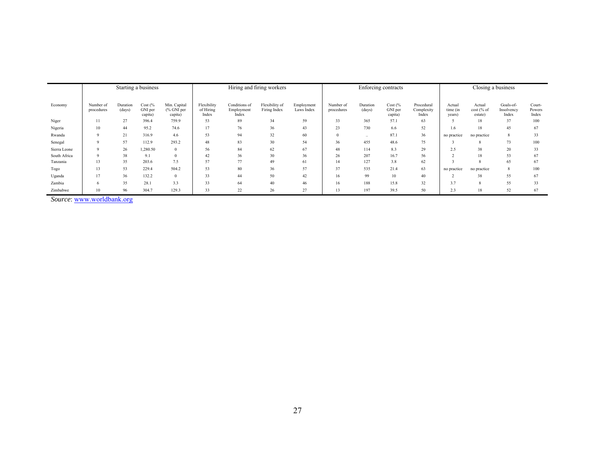|              |                         | Starting a business |                               |                                        |                                   |                                      | Hiring and firing workers      |                          | Enforcing contracts     |                    |                                          |                                   | Closing a business           |                                 |                                  |                           |
|--------------|-------------------------|---------------------|-------------------------------|----------------------------------------|-----------------------------------|--------------------------------------|--------------------------------|--------------------------|-------------------------|--------------------|------------------------------------------|-----------------------------------|------------------------------|---------------------------------|----------------------------------|---------------------------|
| Economy      | Number of<br>procedures | Duration<br>(days)  | Cost (%<br>GNI per<br>capita) | Min. Capital<br>$%$ GNI per<br>capita) | Flexibility<br>of Hiring<br>Index | Conditions of<br>Employment<br>Index | Flexibility of<br>Firing Index | Employment<br>Laws Index | Number of<br>procedures | Duration<br>(days) | Cost $\frac{6}{6}$<br>GNI per<br>capita) | Procedural<br>Complexity<br>Index | Actual<br>time (in<br>years) | Actual<br>cost (% of<br>estate) | Goals-of-<br>Insolvency<br>Index | Court-<br>Powers<br>Index |
| Niger        | 11                      | 27                  | 396.4                         | 759.9                                  | 53                                | 89                                   | 34                             | 59                       | 33                      | 365                | 57.1                                     | 63                                |                              | 18                              | 37                               | 100                       |
| Nigeria      | 10                      | 44                  | 95.2                          | 74.6                                   | 17                                | 76                                   | 36                             | 43                       | 23                      | 730                | 6.6                                      | 52                                | 1.6                          | 18                              | 45                               | 67                        |
| Rwanda       |                         | 21                  | 316.9                         | 4.6                                    | 53                                | 94                                   | 32                             | 60                       |                         | $\ddotsc$          | 87.1                                     | 36                                | no practice                  | no practice                     | 8                                | 33                        |
| Senegal      |                         | 57                  | 112.9                         | 293.2                                  | 48                                | 83                                   | 30                             | 54                       | 36                      | 455                | 48.6                                     | 75                                |                              |                                 | 73                               | 100                       |
| Sierra Leone |                         | 26                  | 1,280.50                      | $\theta$                               | 56                                | 84                                   | 62                             | 67                       | 48                      | 114                | 8.3                                      | 29                                | 2.5                          | 38                              | 20                               | 33                        |
| South Africa |                         | 38                  | 9.1                           |                                        | 42                                | 36                                   | 30                             | 36                       | 26                      | 207                | 16.7                                     | 56                                |                              | 18                              | 53                               | 67                        |
| Tanzania     | 13                      | 35                  | 203.6                         | 7.5                                    | 57                                | 77                                   | 49                             | 61                       |                         | 127                | 3.8                                      | 62                                |                              |                                 | 65                               | 67                        |
| Togo         | 13                      | 53                  | 229.4                         | 504.2                                  | 53                                | 80                                   | 36                             | 57                       | 37                      | 535                | 21.4                                     | 63                                | no practice                  | no practice                     | 8                                | 100                       |
| Uganda       | 17                      | 36                  | 132.2                         |                                        | 33                                | 44                                   | 50                             | 42                       | 16                      | 99                 | 10                                       | 40                                |                              | 38                              | 55                               | 67                        |
| Zambia       |                         | 35                  | 28.i                          | 3.3                                    | 33                                | 64                                   | 40                             | 46                       | 16                      | 188                | 15.8                                     | 32                                | 3.7                          | $\boldsymbol{8}$                | 55                               | 33                        |
| Zimbabwe     | 10                      | 96                  | 304.7                         | 129.3                                  | 33                                | 22                                   | 26                             | 27                       |                         | 197                | 39.5                                     | 50                                | 2.3                          | 18                              | 52                               | 67                        |

*Source*: www.worldbank.org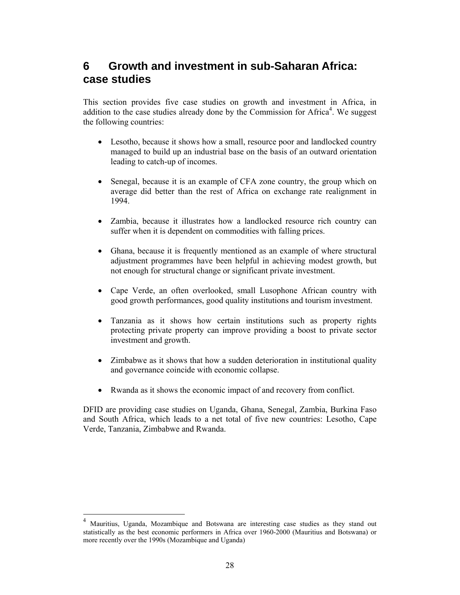# **6 Growth and investment in sub-Saharan Africa: case studies**

This section provides five case studies on growth and investment in Africa, in addition to the case studies already done by the Commission for Africa<sup>4</sup>. We suggest the following countries:

- Lesotho, because it shows how a small, resource poor and landlocked country managed to build up an industrial base on the basis of an outward orientation leading to catch-up of incomes.
- Senegal, because it is an example of CFA zone country, the group which on average did better than the rest of Africa on exchange rate realignment in 1994.
- Zambia, because it illustrates how a landlocked resource rich country can suffer when it is dependent on commodities with falling prices.
- Ghana, because it is frequently mentioned as an example of where structural adjustment programmes have been helpful in achieving modest growth, but not enough for structural change or significant private investment.
- Cape Verde, an often overlooked, small Lusophone African country with good growth performances, good quality institutions and tourism investment.
- Tanzania as it shows how certain institutions such as property rights protecting private property can improve providing a boost to private sector investment and growth.
- Zimbabwe as it shows that how a sudden deterioration in institutional quality and governance coincide with economic collapse.
- Rwanda as it shows the economic impact of and recovery from conflict.

DFID are providing case studies on Uganda, Ghana, Senegal, Zambia, Burkina Faso and South Africa, which leads to a net total of five new countries: Lesotho, Cape Verde, Tanzania, Zimbabwe and Rwanda.

 $\overline{a}$ 

<sup>4</sup> Mauritius, Uganda, Mozambique and Botswana are interesting case studies as they stand out statistically as the best economic performers in Africa over 1960-2000 (Mauritius and Botswana) or more recently over the 1990s (Mozambique and Uganda)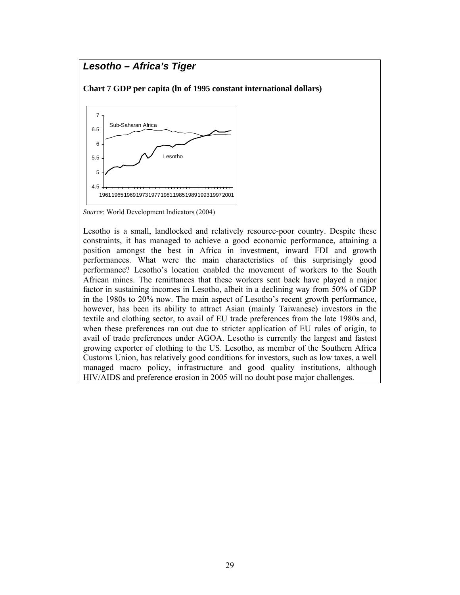### *Lesotho – Africa's Tiger*

**Chart 7 GDP per capita (ln of 1995 constant international dollars)** 



*Source*: World Development Indicators (2004)

Lesotho is a small, landlocked and relatively resource-poor country. Despite these constraints, it has managed to achieve a good economic performance, attaining a position amongst the best in Africa in investment, inward FDI and growth performances. What were the main characteristics of this surprisingly good performance? Lesotho's location enabled the movement of workers to the South African mines. The remittances that these workers sent back have played a major factor in sustaining incomes in Lesotho, albeit in a declining way from 50% of GDP in the 1980s to 20% now. The main aspect of Lesotho's recent growth performance, however, has been its ability to attract Asian (mainly Taiwanese) investors in the textile and clothing sector, to avail of EU trade preferences from the late 1980s and, when these preferences ran out due to stricter application of EU rules of origin, to avail of trade preferences under AGOA. Lesotho is currently the largest and fastest growing exporter of clothing to the US. Lesotho, as member of the Southern Africa Customs Union, has relatively good conditions for investors, such as low taxes, a well managed macro policy, infrastructure and good quality institutions, although HIV/AIDS and preference erosion in 2005 will no doubt pose major challenges.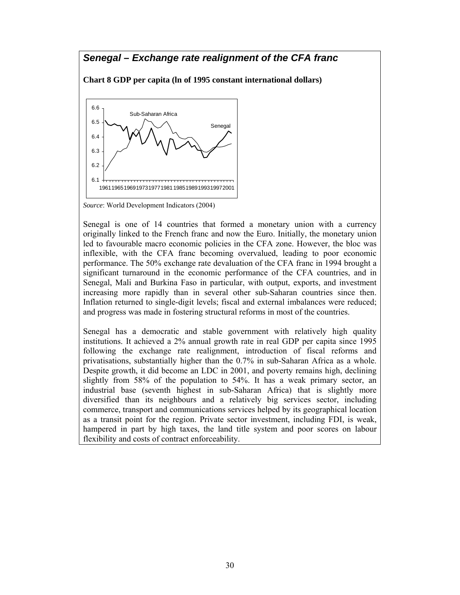### *Senegal – Exchange rate realignment of the CFA franc*

**Chart 8 GDP per capita (ln of 1995 constant international dollars)** 



*Source*: World Development Indicators (2004)

Senegal is one of 14 countries that formed a monetary union with a currency originally linked to the French franc and now the Euro. Initially, the monetary union led to favourable macro economic policies in the CFA zone. However, the bloc was inflexible, with the CFA franc becoming overvalued, leading to poor economic performance. The 50% exchange rate devaluation of the CFA franc in 1994 brought a significant turnaround in the economic performance of the CFA countries, and in Senegal, Mali and Burkina Faso in particular, with output, exports, and investment increasing more rapidly than in several other sub-Saharan countries since then. Inflation returned to single-digit levels; fiscal and external imbalances were reduced; and progress was made in fostering structural reforms in most of the countries.

Senegal has a democratic and stable government with relatively high quality institutions. It achieved a 2% annual growth rate in real GDP per capita since 1995 following the exchange rate realignment, introduction of fiscal reforms and privatisations, substantially higher than the 0.7% in sub-Saharan Africa as a whole. Despite growth, it did become an LDC in 2001, and poverty remains high, declining slightly from 58% of the population to 54%. It has a weak primary sector, an industrial base (seventh highest in sub-Saharan Africa) that is slightly more diversified than its neighbours and a relatively big services sector, including commerce, transport and communications services helped by its geographical location as a transit point for the region. Private sector investment, including FDI, is weak, hampered in part by high taxes, the land title system and poor scores on labour flexibility and costs of contract enforceability.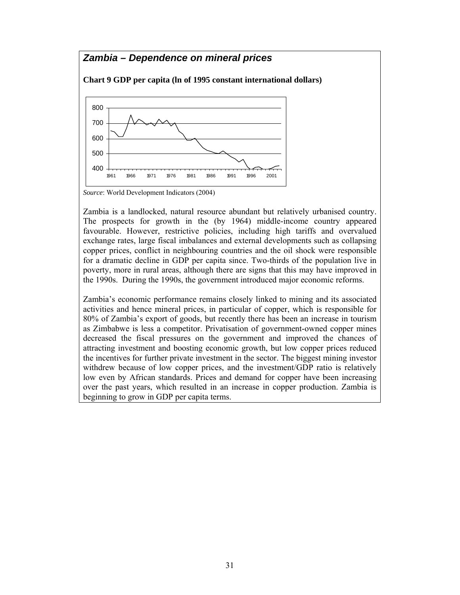

*Source*: World Development Indicators (2004)

Zambia is a landlocked, natural resource abundant but relatively urbanised country. The prospects for growth in the (by 1964) middle-income country appeared favourable. However, restrictive policies, including high tariffs and overvalued exchange rates, large fiscal imbalances and external developments such as collapsing copper prices, conflict in neighbouring countries and the oil shock were responsible for a dramatic decline in GDP per capita since. Two-thirds of the population live in poverty, more in rural areas, although there are signs that this may have improved in the 1990s. During the 1990s, the government introduced major economic reforms.

Zambia's economic performance remains closely linked to mining and its associated activities and hence mineral prices, in particular of copper, which is responsible for 80% of Zambia's export of goods, but recently there has been an increase in tourism as Zimbabwe is less a competitor. Privatisation of government-owned copper mines decreased the fiscal pressures on the government and improved the chances of attracting investment and boosting economic growth, but low copper prices reduced the incentives for further private investment in the sector. The biggest mining investor withdrew because of low copper prices, and the investment/GDP ratio is relatively low even by African standards. Prices and demand for copper have been increasing over the past years, which resulted in an increase in copper production. Zambia is beginning to grow in GDP per capita terms.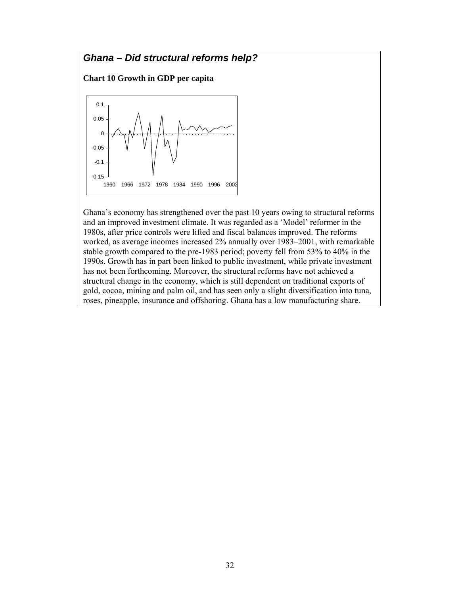# *Ghana – Did structural reforms help?*  **Chart 10 Growth in GDP per capita**  -0.15 -0.1 -0.05 0 0.05 0.1 1960 1966 1972 1978 1984 1990 1996 2002

Ghana's economy has strengthened over the past 10 years owing to structural reforms and an improved investment climate. It was regarded as a 'Model' reformer in the 1980s, after price controls were lifted and fiscal balances improved. The reforms worked, as average incomes increased 2% annually over 1983–2001, with remarkable stable growth compared to the pre-1983 period; poverty fell from 53% to 40% in the 1990s. Growth has in part been linked to public investment, while private investment has not been forthcoming. Moreover, the structural reforms have not achieved a structural change in the economy, which is still dependent on traditional exports of gold, cocoa, mining and palm oil, and has seen only a slight diversification into tuna, roses, pineapple, insurance and offshoring. Ghana has a low manufacturing share.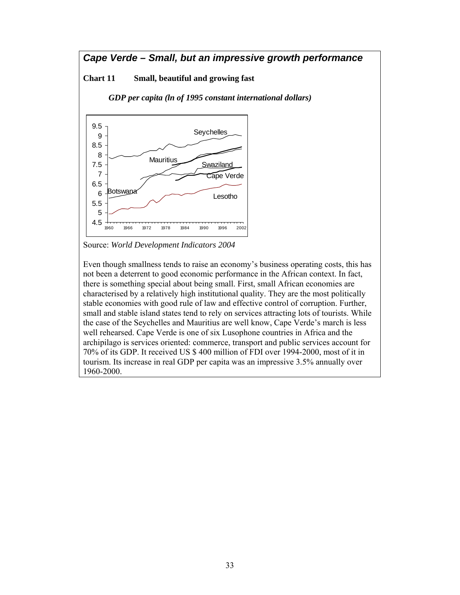### *Cape Verde – Small, but an impressive growth performance*

#### **Chart 11 Small, beautiful and growing fast**

*GDP per capita (ln of 1995 constant international dollars)* 



Source: *World Development Indicators 2004* 

Even though smallness tends to raise an economy's business operating costs, this has not been a deterrent to good economic performance in the African context. In fact, there is something special about being small. First, small African economies are characterised by a relatively high institutional quality. They are the most politically stable economies with good rule of law and effective control of corruption. Further, small and stable island states tend to rely on services attracting lots of tourists. While the case of the Seychelles and Mauritius are well know, Cape Verde's march is less well rehearsed. Cape Verde is one of six Lusophone countries in Africa and the archipilago is services oriented: commerce, transport and public services account for 70% of its GDP. It received US \$ 400 million of FDI over 1994-2000, most of it in tourism. Its increase in real GDP per capita was an impressive 3.5% annually over 1960-2000.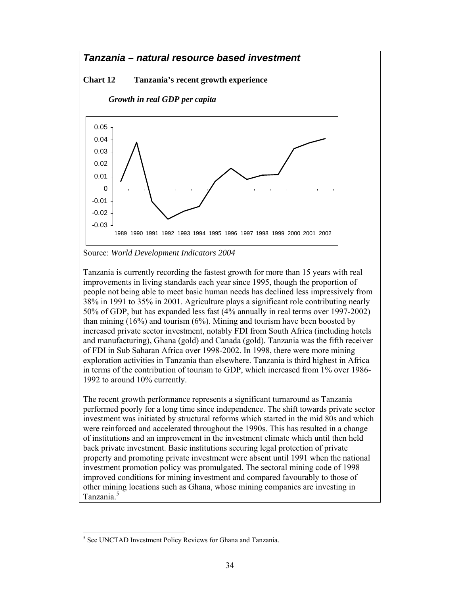# *Tanzania – natural resource based investment*

#### **Chart 12 Tanzania's recent growth experience**

*Growth in real GDP per capita* 



Source: *World Development Indicators 2004* 

Tanzania is currently recording the fastest growth for more than 15 years with real improvements in living standards each year since 1995, though the proportion of people not being able to meet basic human needs has declined less impressively from 38% in 1991 to 35% in 2001. Agriculture plays a significant role contributing nearly 50% of GDP, but has expanded less fast (4% annually in real terms over 1997-2002) than mining (16%) and tourism (6%). Mining and tourism have been boosted by increased private sector investment, notably FDI from South Africa (including hotels and manufacturing), Ghana (gold) and Canada (gold). Tanzania was the fifth receiver of FDI in Sub Saharan Africa over 1998-2002. In 1998, there were more mining exploration activities in Tanzania than elsewhere. Tanzania is third highest in Africa in terms of the contribution of tourism to GDP, which increased from 1% over 1986- 1992 to around 10% currently.

The recent growth performance represents a significant turnaround as Tanzania performed poorly for a long time since independence. The shift towards private sector investment was initiated by structural reforms which started in the mid 80s and which were reinforced and accelerated throughout the 1990s. This has resulted in a change of institutions and an improvement in the investment climate which until then held back private investment. Basic institutions securing legal protection of private property and promoting private investment were absent until 1991 when the national investment promotion policy was promulgated. The sectoral mining code of 1998 improved conditions for mining investment and compared favourably to those of other mining locations such as Ghana, whose mining companies are investing in Tanzania.<sup>5</sup>

 $\overline{\phantom{a}}$ 

<sup>&</sup>lt;sup>5</sup> See UNCTAD Investment Policy Reviews for Ghana and Tanzania.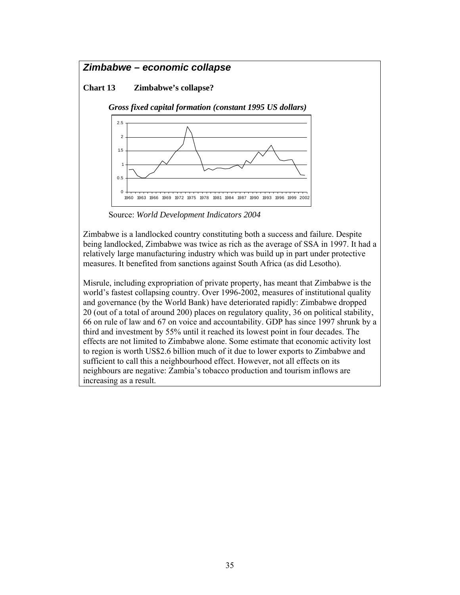### *Zimbabwe – economic collapse*

#### **Chart 13 Zimbabwe's collapse?**



Source: *World Development Indicators 2004* 

Zimbabwe is a landlocked country constituting both a success and failure. Despite being landlocked, Zimbabwe was twice as rich as the average of SSA in 1997. It had a relatively large manufacturing industry which was build up in part under protective measures. It benefited from sanctions against South Africa (as did Lesotho).

Misrule, including expropriation of private property, has meant that Zimbabwe is the world's fastest collapsing country. Over 1996-2002, measures of institutional quality and governance (by the World Bank) have deteriorated rapidly: Zimbabwe dropped 20 (out of a total of around 200) places on regulatory quality, 36 on political stability, 66 on rule of law and 67 on voice and accountability. GDP has since 1997 shrunk by a third and investment by 55% until it reached its lowest point in four decades. The effects are not limited to Zimbabwe alone. Some estimate that economic activity lost to region is worth US\$2.6 billion much of it due to lower exports to Zimbabwe and sufficient to call this a neighbourhood effect. However, not all effects on its neighbours are negative: Zambia's tobacco production and tourism inflows are increasing as a result.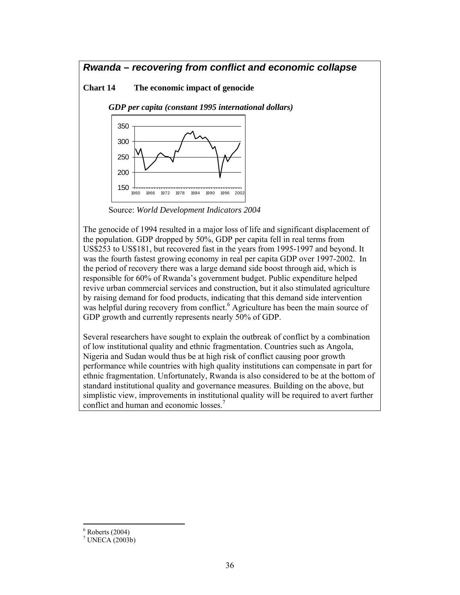### *Rwanda – recovering from conflict and economic collapse*

#### **Chart 14 The economic impact of genocide**

*GDP per capita (constant 1995 international dollars)* 



Source: *World Development Indicators 2004* 

The genocide of 1994 resulted in a major loss of life and significant displacement of the population. GDP dropped by 50%, GDP per capita fell in real terms from US\$253 to US\$181, but recovered fast in the years from 1995-1997 and beyond. It was the fourth fastest growing economy in real per capita GDP over 1997-2002. In the period of recovery there was a large demand side boost through aid, which is responsible for 60% of Rwanda's government budget. Public expenditure helped revive urban commercial services and construction, but it also stimulated agriculture by raising demand for food products, indicating that this demand side intervention was helpful during recovery from conflict.<sup>6</sup> Agriculture has been the main source of GDP growth and currently represents nearly 50% of GDP.

Several researchers have sought to explain the outbreak of conflict by a combination of low institutional quality and ethnic fragmentation. Countries such as Angola, Nigeria and Sudan would thus be at high risk of conflict causing poor growth performance while countries with high quality institutions can compensate in part for ethnic fragmentation. Unfortunately, Rwanda is also considered to be at the bottom of standard institutional quality and governance measures. Building on the above, but simplistic view, improvements in institutional quality will be required to avert further conflict and human and economic losses.<sup>7</sup>

 $\overline{\phantom{a}}$  $6$  Roberts (2004)

 $^7$  UNECA (2003b)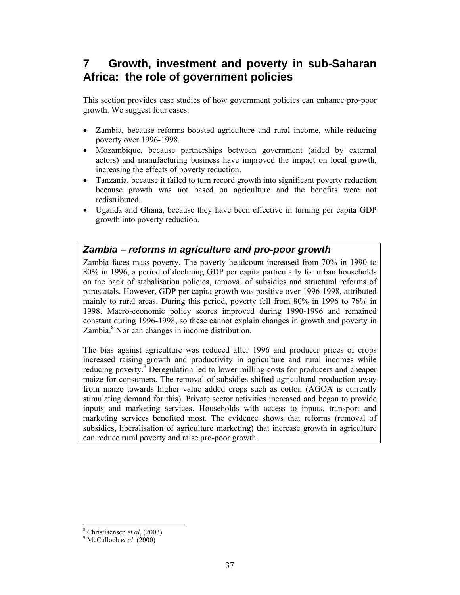# **7 Growth, investment and poverty in sub-Saharan Africa: the role of government policies**

This section provides case studies of how government policies can enhance pro-poor growth. We suggest four cases:

- Zambia, because reforms boosted agriculture and rural income, while reducing poverty over 1996-1998.
- Mozambique, because partnerships between government (aided by external actors) and manufacturing business have improved the impact on local growth, increasing the effects of poverty reduction.
- Tanzania, because it failed to turn record growth into significant poverty reduction because growth was not based on agriculture and the benefits were not redistributed.
- Uganda and Ghana, because they have been effective in turning per capita GDP growth into poverty reduction.

### *Zambia – reforms in agriculture and pro-poor growth*

Zambia faces mass poverty. The poverty headcount increased from 70% in 1990 to 80% in 1996, a period of declining GDP per capita particularly for urban households on the back of stabalisation policies, removal of subsidies and structural reforms of parastatals. However, GDP per capita growth was positive over 1996-1998, attributed mainly to rural areas. During this period, poverty fell from 80% in 1996 to 76% in 1998. Macro-economic policy scores improved during 1990-1996 and remained constant during 1996-1998, so these cannot explain changes in growth and poverty in Zambia. $8$  Nor can changes in income distribution.

The bias against agriculture was reduced after 1996 and producer prices of crops increased raising growth and productivity in agriculture and rural incomes while reducing poverty.<sup>9</sup> Deregulation led to lower milling costs for producers and cheaper maize for consumers. The removal of subsidies shifted agricultural production away from maize towards higher value added crops such as cotton (AGOA is currently stimulating demand for this). Private sector activities increased and began to provide inputs and marketing services. Households with access to inputs, transport and marketing services benefited most. The evidence shows that reforms (removal of subsidies, liberalisation of agriculture marketing) that increase growth in agriculture can reduce rural poverty and raise pro-poor growth.

 $\overline{\phantom{a}}$ <sup>8</sup> Christiaensen *et al.* (2003)

McCulloch *et al*. (2000)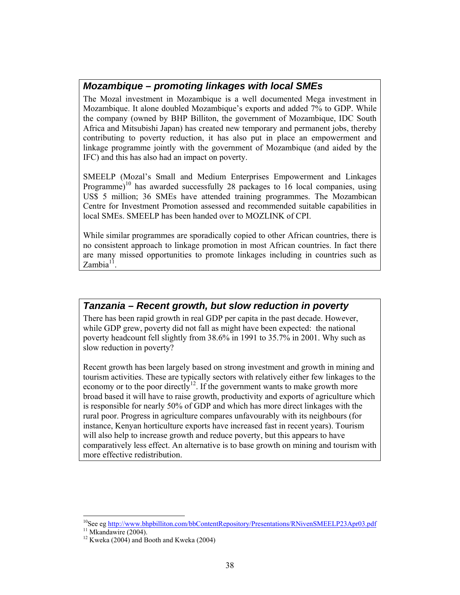### *Mozambique – promoting linkages with local SMEs*

The Mozal investment in Mozambique is a well documented Mega investment in Mozambique. It alone doubled Mozambique's exports and added 7% to GDP. While the company (owned by BHP Billiton, the government of Mozambique, IDC South Africa and Mitsubishi Japan) has created new temporary and permanent jobs, thereby contributing to poverty reduction, it has also put in place an empowerment and linkage programme jointly with the government of Mozambique (and aided by the IFC) and this has also had an impact on poverty.

SMEELP (Mozal's Small and Medium Enterprises Empowerment and Linkages Programme)<sup>10</sup> has awarded successfully 28 packages to 16 local companies, using US\$ 5 million; 36 SMEs have attended training programmes. The Mozambican Centre for Investment Promotion assessed and recommended suitable capabilities in local SMEs. SMEELP has been handed over to MOZLINK of CPI.

While similar programmes are sporadically copied to other African countries, there is no consistent approach to linkage promotion in most African countries. In fact there are many missed opportunities to promote linkages including in countries such as Zambia<sup>11</sup>

### *Tanzania – Recent growth, but slow reduction in poverty*

There has been rapid growth in real GDP per capita in the past decade. However, while GDP grew, poverty did not fall as might have been expected: the national poverty headcount fell slightly from 38.6% in 1991 to 35.7% in 2001. Why such as slow reduction in poverty?

Recent growth has been largely based on strong investment and growth in mining and tourism activities. These are typically sectors with relatively either few linkages to the economy or to the poor directly<sup>12</sup>. If the government wants to make growth more broad based it will have to raise growth, productivity and exports of agriculture which is responsible for nearly 50% of GDP and which has more direct linkages with the rural poor. Progress in agriculture compares unfavourably with its neighbours (for instance, Kenyan horticulture exports have increased fast in recent years). Tourism will also help to increase growth and reduce poverty, but this appears to have comparatively less effect. An alternative is to base growth on mining and tourism with more effective redistribution.

 $\overline{a}$ <sup>10</sup>See eg http://www.bhpbilliton.com/bbContentRepository/Presentations/RNivenSMEELP23Apr03.pdf <sup>11</sup> Mkandawire (2004).

 $12$  Kweka (2004) and Booth and Kweka (2004)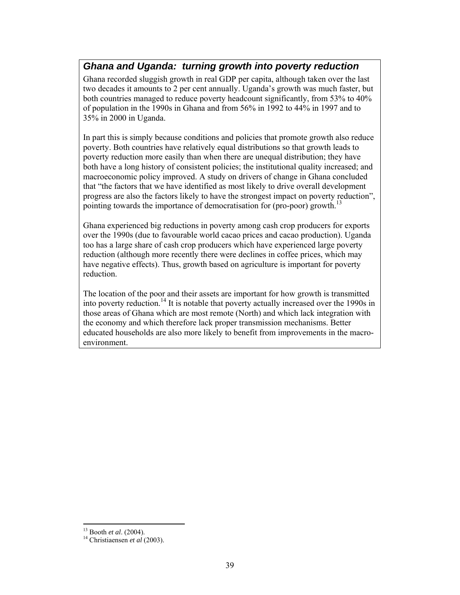### *Ghana and Uganda: turning growth into poverty reduction*

Ghana recorded sluggish growth in real GDP per capita, although taken over the last two decades it amounts to 2 per cent annually. Uganda's growth was much faster, but both countries managed to reduce poverty headcount significantly, from 53% to 40% of population in the 1990s in Ghana and from 56% in 1992 to 44% in 1997 and to 35% in 2000 in Uganda.

In part this is simply because conditions and policies that promote growth also reduce poverty. Both countries have relatively equal distributions so that growth leads to poverty reduction more easily than when there are unequal distribution; they have both have a long history of consistent policies; the institutional quality increased; and macroeconomic policy improved. A study on drivers of change in Ghana concluded that "the factors that we have identified as most likely to drive overall development progress are also the factors likely to have the strongest impact on poverty reduction", pointing towards the importance of democratisation for (pro-poor) growth.<sup>13</sup>

Ghana experienced big reductions in poverty among cash crop producers for exports over the 1990s (due to favourable world cacao prices and cacao production). Uganda too has a large share of cash crop producers which have experienced large poverty reduction (although more recently there were declines in coffee prices, which may have negative effects). Thus, growth based on agriculture is important for poverty reduction.

The location of the poor and their assets are important for how growth is transmitted into poverty reduction.14 It is notable that poverty actually increased over the 1990s in those areas of Ghana which are most remote (North) and which lack integration with the economy and which therefore lack proper transmission mechanisms. Better educated households are also more likely to benefit from improvements in the macroenvironment.

l

<sup>13</sup> Booth *et al*. (2004). 14 Christiaensen *et al* (2003).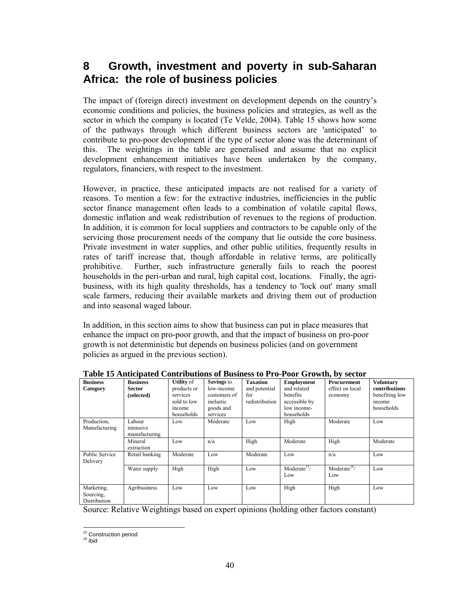# **8 Growth, investment and poverty in sub-Saharan Africa: the role of business policies**

The impact of (foreign direct) investment on development depends on the country's economic conditions and policies, the business policies and strategies, as well as the sector in which the company is located (Te Velde, 2004). Table 15 shows how some of the pathways through which different business sectors are 'anticipated' to contribute to pro-poor development if the type of sector alone was the determinant of this. The weightings in the table are generalised and assume that no explicit development enhancement initiatives have been undertaken by the company, regulators, financiers, with respect to the investment.

However, in practice, these anticipated impacts are not realised for a variety of reasons. To mention a few: for the extractive industries, inefficiencies in the public sector finance management often leads to a combination of volatile capital flows, domestic inflation and weak redistribution of revenues to the regions of production. In addition, it is common for local suppliers and contractors to be capable only of the servicing those procurement needs of the company that lie outside the core business. Private investment in water supplies, and other public utilities, frequently results in rates of tariff increase that, though affordable in relative terms, are politically prohibitive. Further, such infrastructure generally fails to reach the poorest households in the peri-urban and rural, high capital cost, locations. Finally, the agribusiness, with its high quality thresholds, has a tendency to 'lock out' many small scale farmers, reducing their available markets and driving them out of production and into seasonal waged labour.

In addition, in this section aims to show that business can put in place measures that enhance the impact on pro-poor growth, and that the impact of business on pro-poor growth is not deterministic but depends on business policies (and on government policies as argued in the previous section).

| <b>Business</b><br>Category             | <b>Business</b><br><b>Sector</b><br>(selected) | <b>Utility</b> of<br>products or<br>services<br>sold to low<br>income<br>households | Savings to<br>low-income<br>customers of<br>inelastic<br>goods and<br>services | <b>Taxation</b><br>and potential<br>for<br>redistribution | <b>Employment</b><br>and related<br>benefits<br>accessible by<br>low income-<br>households | Procurement<br>effect on local<br>economy | <b>Voluntary</b><br>contributions<br>benefiting low<br>income<br>households |
|-----------------------------------------|------------------------------------------------|-------------------------------------------------------------------------------------|--------------------------------------------------------------------------------|-----------------------------------------------------------|--------------------------------------------------------------------------------------------|-------------------------------------------|-----------------------------------------------------------------------------|
| Production,<br>Manufacturing            | Labour<br>intensive<br>manufacturing           | Low                                                                                 | Moderate                                                                       | Low                                                       | High                                                                                       | Moderate                                  | Low                                                                         |
|                                         | Mineral<br>extraction                          | Low                                                                                 | n/a                                                                            | High                                                      | Moderate                                                                                   | High                                      | Moderate                                                                    |
| <b>Public Service</b><br>Delivery       | Retail banking                                 | Moderate                                                                            | Low                                                                            | Moderate                                                  | Low                                                                                        | n/a                                       | Low                                                                         |
|                                         | Water supply                                   | High                                                                                | High                                                                           | Low                                                       | Moderate <sup><math>\frac{15}{7}</math></sup><br>Low                                       | Moderate $16/$<br>Low                     | Low                                                                         |
| Marketing.<br>Sourcing.<br>Distribution | Agribusiness                                   | Low                                                                                 | Low                                                                            | Low                                                       | High                                                                                       | High                                      | Low                                                                         |

**Table 15 Anticipated Contributions of Business to Pro-Poor Growth, by sector** 

Source: Relative Weightings based on expert opinions (holding other factors constant)

l <sup>15</sup> Construction period<br><sup>16</sup> ibid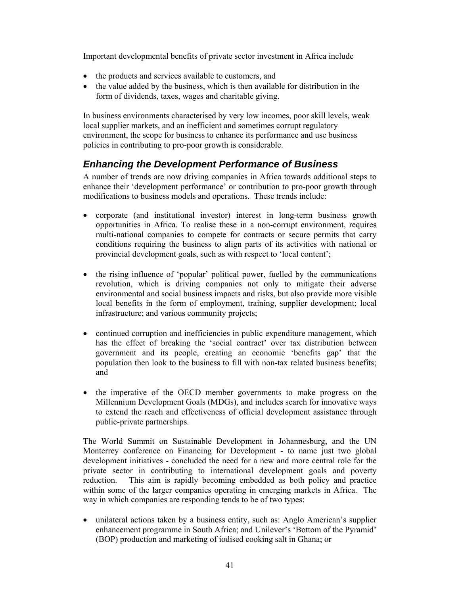Important developmental benefits of private sector investment in Africa include

- the products and services available to customers, and
- the value added by the business, which is then available for distribution in the form of dividends, taxes, wages and charitable giving.

In business environments characterised by very low incomes, poor skill levels, weak local supplier markets, and an inefficient and sometimes corrupt regulatory environment, the scope for business to enhance its performance and use business policies in contributing to pro-poor growth is considerable.

### *Enhancing the Development Performance of Business*

A number of trends are now driving companies in Africa towards additional steps to enhance their 'development performance' or contribution to pro-poor growth through modifications to business models and operations. These trends include:

- corporate (and institutional investor) interest in long-term business growth opportunities in Africa. To realise these in a non-corrupt environment, requires multi-national companies to compete for contracts or secure permits that carry conditions requiring the business to align parts of its activities with national or provincial development goals, such as with respect to 'local content';
- the rising influence of 'popular' political power, fuelled by the communications revolution, which is driving companies not only to mitigate their adverse environmental and social business impacts and risks, but also provide more visible local benefits in the form of employment, training, supplier development; local infrastructure; and various community projects;
- continued corruption and inefficiencies in public expenditure management, which has the effect of breaking the 'social contract' over tax distribution between government and its people, creating an economic 'benefits gap' that the population then look to the business to fill with non-tax related business benefits; and
- the imperative of the OECD member governments to make progress on the Millennium Development Goals (MDGs), and includes search for innovative ways to extend the reach and effectiveness of official development assistance through public-private partnerships.

The World Summit on Sustainable Development in Johannesburg, and the UN Monterrey conference on Financing for Development - to name just two global development initiatives - concluded the need for a new and more central role for the private sector in contributing to international development goals and poverty reduction. This aim is rapidly becoming embedded as both policy and practice within some of the larger companies operating in emerging markets in Africa. The way in which companies are responding tends to be of two types:

• unilateral actions taken by a business entity, such as: Anglo American's supplier enhancement programme in South Africa; and Unilever's 'Bottom of the Pyramid' (BOP) production and marketing of iodised cooking salt in Ghana; or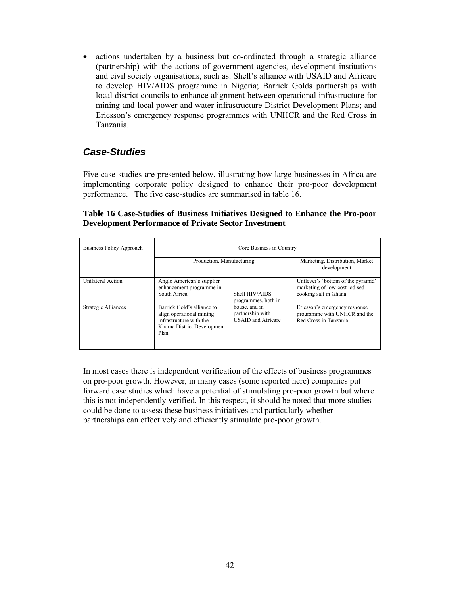• actions undertaken by a business but co-ordinated through a strategic alliance (partnership) with the actions of government agencies, development institutions and civil society organisations, such as: Shell's alliance with USAID and Africare to develop HIV/AIDS programme in Nigeria; Barrick Golds partnerships with local district councils to enhance alignment between operational infrastructure for mining and local power and water infrastructure District Development Plans; and Ericsson's emergency response programmes with UNHCR and the Red Cross in Tanzania.

### *Case-Studies*

Five case-studies are presented below, illustrating how large businesses in Africa are implementing corporate policy designed to enhance their pro-poor development performance. The five case-studies are summarised in table 16.

#### **Table 16 Case-Studies of Business Initiatives Designed to Enhance the Pro-poor Development Performance of Private Sector Investment**

| Business Policy Approach | Core Business in Country                                                                                                |                                                                |                                                                                              |  |  |  |  |
|--------------------------|-------------------------------------------------------------------------------------------------------------------------|----------------------------------------------------------------|----------------------------------------------------------------------------------------------|--|--|--|--|
|                          | Production, Manufacturing                                                                                               |                                                                | Marketing, Distribution, Market<br>development                                               |  |  |  |  |
| <b>Unilateral Action</b> | Anglo American's supplier<br>enhancement programme in<br>South Africa                                                   | Shell HIV/AIDS<br>programmes, both in-                         | Unilever's 'bottom of the pyramid'<br>marketing of low-cost iodised<br>cooking salt in Ghana |  |  |  |  |
| Strategic Alliances      | Barrick Gold's alliance to<br>align operational mining<br>infrastructure with the<br>Khama District Development<br>Plan | house, and in<br>partnership with<br><b>USAID</b> and Africare | Ericsson's emergency response<br>programme with UNHCR and the<br>Red Cross in Tanzania       |  |  |  |  |

In most cases there is independent verification of the effects of business programmes on pro-poor growth. However, in many cases (some reported here) companies put forward case studies which have a potential of stimulating pro-poor growth but where this is not independently verified. In this respect, it should be noted that more studies could be done to assess these business initiatives and particularly whether partnerships can effectively and efficiently stimulate pro-poor growth.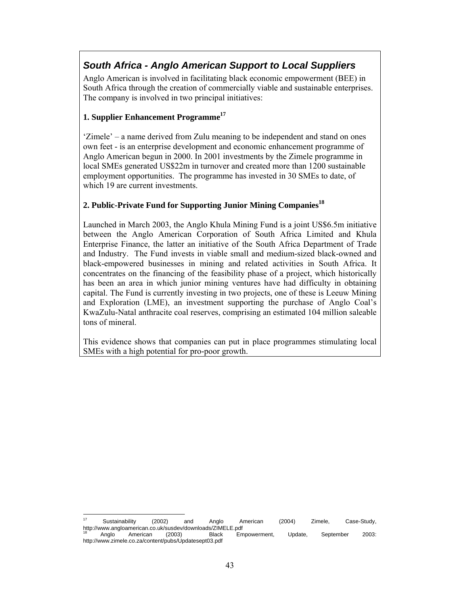# *South Africa - Anglo American Support to Local Suppliers*

Anglo American is involved in facilitating black economic empowerment (BEE) in South Africa through the creation of commercially viable and sustainable enterprises. The company is involved in two principal initiatives:

#### **1. Supplier Enhancement Programme17**

'Zimele' – a name derived from Zulu meaning to be independent and stand on ones own feet - is an enterprise development and economic enhancement programme of Anglo American begun in 2000. In 2001 investments by the Zimele programme in local SMEs generated US\$22m in turnover and created more than 1200 sustainable employment opportunities. The programme has invested in 30 SMEs to date, of which 19 are current investments.

#### 2. Public-Private Fund for Supporting Junior Mining Companies<sup>18</sup>

Launched in March 2003, the Anglo Khula Mining Fund is a joint US\$6.5m initiative between the Anglo American Corporation of South Africa Limited and Khula Enterprise Finance, the latter an initiative of the South Africa Department of Trade and Industry. The Fund invests in viable small and medium-sized black-owned and black-empowered businesses in mining and related activities in South Africa. It concentrates on the financing of the feasibility phase of a project, which historically has been an area in which junior mining ventures have had difficulty in obtaining capital. The Fund is currently investing in two projects, one of these is Leeuw Mining and Exploration (LME), an investment supporting the purchase of Anglo Coal's KwaZulu-Natal anthracite coal reserves, comprising an estimated 104 million saleable tons of mineral.

This evidence shows that companies can put in place programmes stimulating local SMEs with a high potential for pro-poor growth.

 $\overline{a}$ <sup>17</sup> Sustainability (2002) and Anglo American (2004) Zimele, Case-Study, http://www.angloamerican.co.uk/susdev/downloads/ZIMELE.pdf<br><sup>18</sup> Anglo American (2003) Black Empowerment, Update, September 2003:

http://www.zimele.co.za/content/pubs/Updatesept03.pdf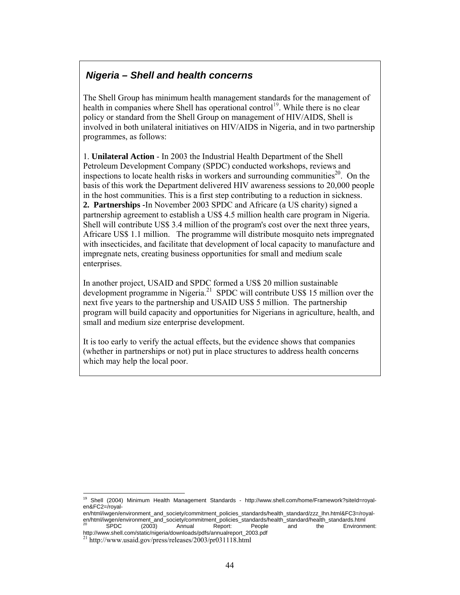## *Nigeria – Shell and health concerns*

The Shell Group has minimum health management standards for the management of health in companies where Shell has operational control<sup>19</sup>. While there is no clear policy or standard from the Shell Group on management of HIV/AIDS, Shell is involved in both unilateral initiatives on HIV/AIDS in Nigeria, and in two partnership programmes, as follows:

1. **Unilateral Action** - In 2003 the Industrial Health Department of the Shell Petroleum Development Company (SPDC) conducted workshops, reviews and inspections to locate health risks in workers and surrounding communities<sup>20</sup>. On the basis of this work the Department delivered HIV awareness sessions to 20,000 people in the host communities. This is a first step contributing to a reduction in sickness. **2. Partnerships -**In November 2003 SPDC and Africare (a US charity) signed a partnership agreement to establish a US\$ 4.5 million health care program in Nigeria. Shell will contribute US\$ 3.4 million of the program's cost over the next three years, Africare US\$ 1.1 million. The programme will distribute mosquito nets impregnated with insecticides, and facilitate that development of local capacity to manufacture and impregnate nets, creating business opportunities for small and medium scale enterprises.

In another project, USAID and SPDC formed a US\$ 20 million sustainable development programme in Nigeria.<sup>21</sup> SPDC will contribute US\$ 15 million over the next five years to the partnership and USAID US\$ 5 million. The partnership program will build capacity and opportunities for Nigerians in agriculture, health, and small and medium size enterprise development.

It is too early to verify the actual effects, but the evidence shows that companies (whether in partnerships or not) put in place structures to address health concerns which may help the local poor.

 $\overline{a}$ <sup>19</sup> Shell (2004) Minimum Health Management Standards - http://www.shell.com/home/Framework?siteId=royalen&FC2=/royal-

en/html/iwgen/environment\_and\_society/commitment\_policies\_standards/health\_standard/zzz\_lhn.html&FC3=/royalen/html/iwgen/environment\_and\_society/commitment\_policies\_standards/health\_standard/health\_standards.html  $20$  SPDC (2003) Annual Report: People and the Environment:<br>http://www.shell.com/static/nigeria/downloads/pdfs/annualreport\_2003.pdf

 $^{21}$  http://www.usaid.gov/press/releases/2003/pr031118.html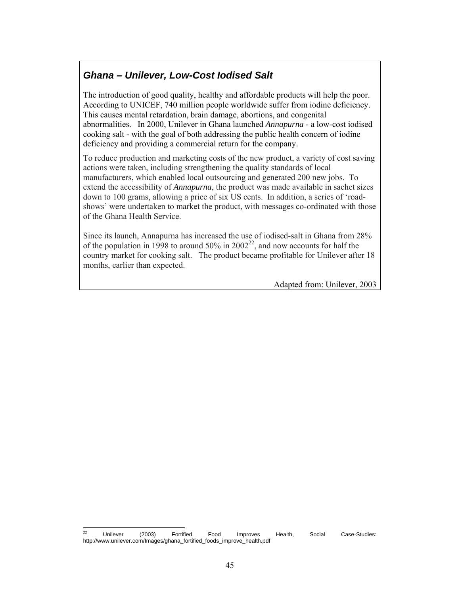## *Ghana – Unilever, Low-Cost Iodised Salt*

The introduction of good quality, healthy and affordable products will help the poor. According to UNICEF, 740 million people worldwide suffer from iodine deficiency. This causes mental retardation, brain damage, abortions, and congenital abnormalities. In 2000, Unilever in Ghana launched *Annapurna* - a low-cost iodised cooking salt - with the goal of both addressing the public health concern of iodine deficiency and providing a commercial return for the company.

To reduce production and marketing costs of the new product, a variety of cost saving actions were taken, including strengthening the quality standards of local manufacturers, which enabled local outsourcing and generated 200 new jobs. To extend the accessibility of *Annapurna*, the product was made available in sachet sizes down to 100 grams, allowing a price of six US cents. In addition, a series of 'roadshows' were undertaken to market the product, with messages co-ordinated with those of the Ghana Health Service.

Since its launch, Annapurna has increased the use of iodised-salt in Ghana from 28% of the population in 1998 to around 50% in  $2002^{22}$ , and now accounts for half the country market for cooking salt. The product became profitable for Unilever after 18 months, earlier than expected.

Adapted from: Unilever, 2003

 $\overline{22}$ <sup>22</sup> Unilever (2003) Fortified Food Improves Health, Social Case-Studies: http://www.unilever.com/Images/ghana\_fortified\_foods\_improve\_health.pdf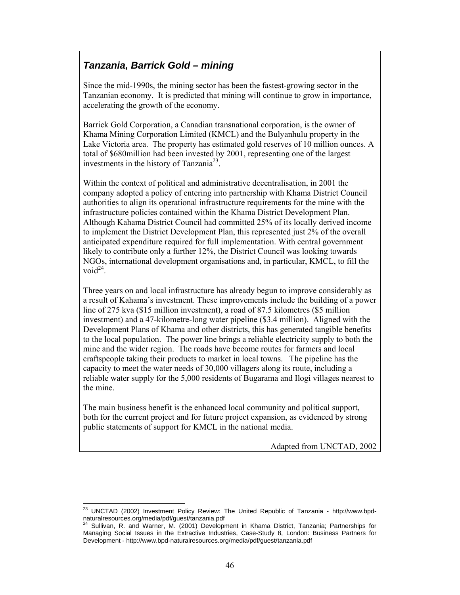# *Tanzania, Barrick Gold – mining*

Since the mid-1990s, the mining sector has been the fastest-growing sector in the Tanzanian economy. It is predicted that mining will continue to grow in importance, accelerating the growth of the economy.

Barrick Gold Corporation, a Canadian transnational corporation, is the owner of Khama Mining Corporation Limited (KMCL) and the Bulyanhulu property in the Lake Victoria area. The property has estimated gold reserves of 10 million ounces. A total of \$680million had been invested by 2001, representing one of the largest investments in the history of Tanzania<sup>23</sup>.

Within the context of political and administrative decentralisation, in 2001 the company adopted a policy of entering into partnership with Khama District Council authorities to align its operational infrastructure requirements for the mine with the infrastructure policies contained within the Khama District Development Plan. Although Kahama District Council had committed 25% of its locally derived income to implement the District Development Plan, this represented just 2% of the overall anticipated expenditure required for full implementation. With central government likely to contribute only a further 12%, the District Council was looking towards NGOs, international development organisations and, in particular, KMCL, to fill the void $^{24}$ .

Three years on and local infrastructure has already begun to improve considerably as a result of Kahama's investment. These improvements include the building of a power line of 275 kva (\$15 million investment), a road of 87.5 kilometres (\$5 million investment) and a 47-kilometre-long water pipeline (\$3.4 million). Aligned with the Development Plans of Khama and other districts, this has generated tangible benefits to the local population. The power line brings a reliable electricity supply to both the mine and the wider region. The roads have become routes for farmers and local craftspeople taking their products to market in local towns. The pipeline has the capacity to meet the water needs of 30,000 villagers along its route, including a reliable water supply for the 5,000 residents of Bugarama and Ilogi villages nearest to the mine.

The main business benefit is the enhanced local community and political support, both for the current project and for future project expansion, as evidenced by strong public statements of support for KMCL in the national media.

Adapted from UNCTAD, 2002

l

<sup>&</sup>lt;sup>23</sup> UNCTAD (2002) Investment Policy Review: The United Republic of Tanzania - http://www.bpdnaturalresources.org/media/pdf/guest/tanzania.pdf

<sup>24</sup> Sullivan, R. and Warner, M. (2001) Development in Khama District, Tanzania; Partnerships for Managing Social Issues in the Extractive Industries, Case-Study 8, London: Business Partners for Development - http://www.bpd-naturalresources.org/media/pdf/guest/tanzania.pdf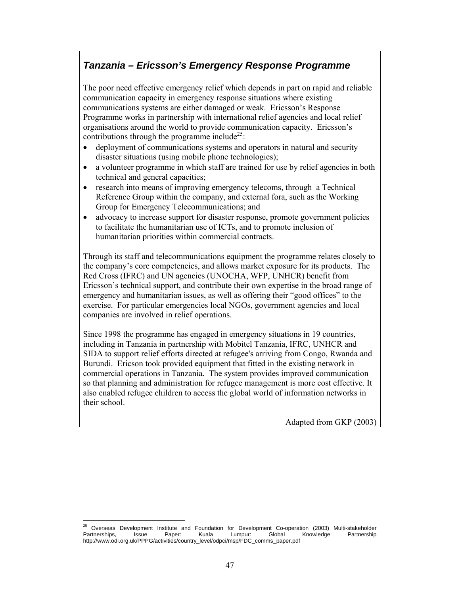# *Tanzania – Ericsson's Emergency Response Programme*

The poor need effective emergency relief which depends in part on rapid and reliable communication capacity in emergency response situations where existing communications systems are either damaged or weak. Ericsson's Response Programme works in partnership with international relief agencies and local relief organisations around the world to provide communication capacity. Ericsson's contributions through the programme include<sup>25</sup>:

- deployment of communications systems and operators in natural and security disaster situations (using mobile phone technologies);
- a volunteer programme in which staff are trained for use by relief agencies in both technical and general capacities;
- research into means of improving emergency telecoms, through a Technical Reference Group within the company, and external fora, such as the Working Group for Emergency Telecommunications; and
- advocacy to increase support for disaster response, promote government policies to facilitate the humanitarian use of ICTs, and to promote inclusion of humanitarian priorities within commercial contracts.

Through its staff and telecommunications equipment the programme relates closely to the company's core competencies, and allows market exposure for its products.The Red Cross (IFRC) and UN agencies (UNOCHA, WFP, UNHCR) benefit from Ericsson's technical support, and contribute their own expertise in the broad range of emergency and humanitarian issues, as well as offering their "good offices" to the exercise. For particular emergencies local NGOs, government agencies and local companies are involved in relief operations.

Since 1998 the programme has engaged in emergency situations in 19 countries, including in Tanzania in partnership with Mobitel Tanzania, IFRC, UNHCR and SIDA to support relief efforts directed at refugee's arriving from Congo, Rwanda and Burundi. Ericson took provided equipment that fitted in the existing network in commercial operations in Tanzania. The system provides improved communication so that planning and administration for refugee management is more cost effective. It also enabled refugee children to access the global world of information networks in their school.

Adapted from GKP (2003)

<sup>25</sup> 25 Overseas Development Institute and Foundation for Development Co-operation (2003) Multi-stakeholder Partnerships, Issue Paper: Kuala Lumpur: Global Knowledge Partnership http://www.odi.org.uk/PPPG/activities/country\_level/odpci/msp/FDC\_comms\_paper.pdf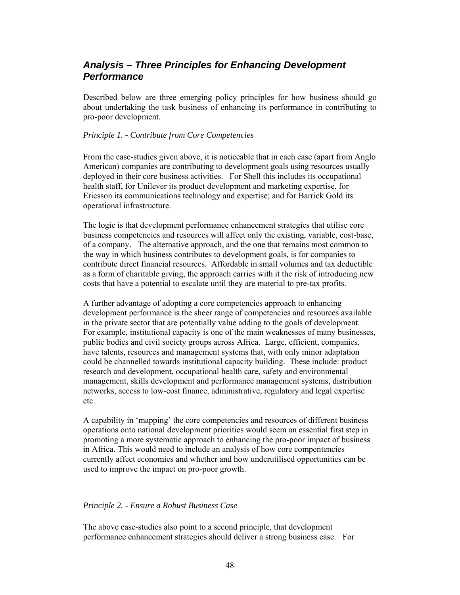### *Analysis – Three Principles for Enhancing Development Performance*

Described below are three emerging policy principles for how business should go about undertaking the task business of enhancing its performance in contributing to pro-poor development.

#### *Principle 1. - Contribute from Core Competencies*

From the case-studies given above, it is noticeable that in each case (apart from Anglo American) companies are contributing to development goals using resources usually deployed in their core business activities. For Shell this includes its occupational health staff, for Unilever its product development and marketing expertise, for Ericsson its communications technology and expertise; and for Barrick Gold its operational infrastructure.

The logic is that development performance enhancement strategies that utilise core business competencies and resources will affect only the existing, variable, cost-base, of a company. The alternative approach, and the one that remains most common to the way in which business contributes to development goals, is for companies to contribute direct financial resources. Affordable in small volumes and tax deductible as a form of charitable giving, the approach carries with it the risk of introducing new costs that have a potential to escalate until they are material to pre-tax profits.

A further advantage of adopting a core competencies approach to enhancing development performance is the sheer range of competencies and resources available in the private sector that are potentially value adding to the goals of development. For example, institutional capacity is one of the main weaknesses of many businesses, public bodies and civil society groups across Africa. Large, efficient, companies, have talents, resources and management systems that, with only minor adaptation could be channelled towards institutional capacity building. These include: product research and development, occupational health care, safety and environmental management, skills development and performance management systems, distribution networks, access to low-cost finance, administrative, regulatory and legal expertise etc.

A capability in 'mapping' the core competencies and resources of different business operations onto national development priorities would seem an essential first step in promoting a more systematic approach to enhancing the pro-poor impact of business in Africa. This would need to include an analysis of how core compentencies currently affect economies and whether and how underutilised opportunities can be used to improve the impact on pro-poor growth.

#### *Principle 2. - Ensure a Robust Business Case*

The above case-studies also point to a second principle, that development performance enhancement strategies should deliver a strong business case. For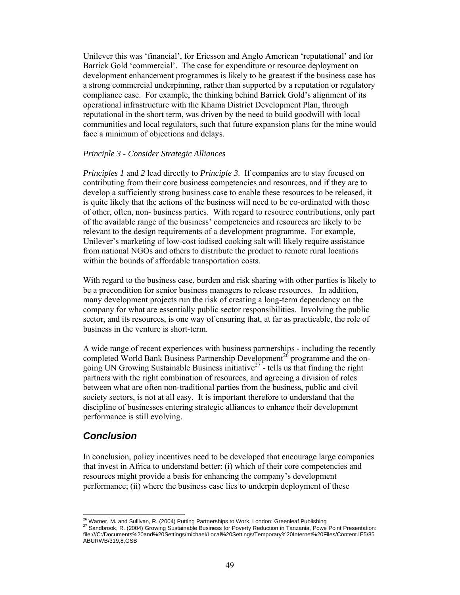Unilever this was 'financial', for Ericsson and Anglo American 'reputational' and for Barrick Gold 'commercial'. The case for expenditure or resource deployment on development enhancement programmes is likely to be greatest if the business case has a strong commercial underpinning, rather than supported by a reputation or regulatory compliance case. For example, the thinking behind Barrick Gold's alignment of its operational infrastructure with the Khama District Development Plan, through reputational in the short term, was driven by the need to build goodwill with local communities and local regulators, such that future expansion plans for the mine would face a minimum of objections and delays.

#### *Principle 3 - Consider Strategic Alliances*

*Principles 1* and *2* lead directly to *Principle 3*. If companies are to stay focused on contributing from their core business competencies and resources, and if they are to develop a sufficiently strong business case to enable these resources to be released, it is quite likely that the actions of the business will need to be co-ordinated with those of other, often, non- business parties. With regard to resource contributions, only part of the available range of the business' competencies and resources are likely to be relevant to the design requirements of a development programme. For example, Unilever's marketing of low-cost iodised cooking salt will likely require assistance from national NGOs and others to distribute the product to remote rural locations within the bounds of affordable transportation costs.

With regard to the business case, burden and risk sharing with other parties is likely to be a precondition for senior business managers to release resources. In addition, many development projects run the risk of creating a long-term dependency on the company for what are essentially public sector responsibilities. Involving the public sector, and its resources, is one way of ensuring that, at far as practicable, the role of business in the venture is short-term.

A wide range of recent experiences with business partnerships - including the recently completed World Bank Business Partnership Development<sup>26</sup> programme and the ongoing UN Growing Sustainable Business initiative<sup>27</sup> - tells us that finding the right partners with the right combination of resources, and agreeing a division of roles between what are often non-traditional parties from the business, public and civil society sectors, is not at all easy. It is important therefore to understand that the discipline of businesses entering strategic alliances to enhance their development performance is still evolving.

### *Conclusion*

In conclusion, policy incentives need to be developed that encourage large companies that invest in Africa to understand better: (i) which of their core competencies and resources might provide a basis for enhancing the company's development performance; (ii) where the business case lies to underpin deployment of these

<sup>&</sup>lt;sup>26</sup> Warner, M. and Sullivan, R. (2004) Putting Partnerships to Work, London: Greenleaf Publishing

<sup>&</sup>lt;sup>27</sup> Sandbrook, R. (2004) Growing Sustainable Business for Poverty Reduction in Tanzania, Powe Point Presentation: file:///C:/Documents%20and%20Settings/michael/Local%20Settings/Temporary%20Internet%20Files/Content.IE5/85 ABURWB/319,8,GSB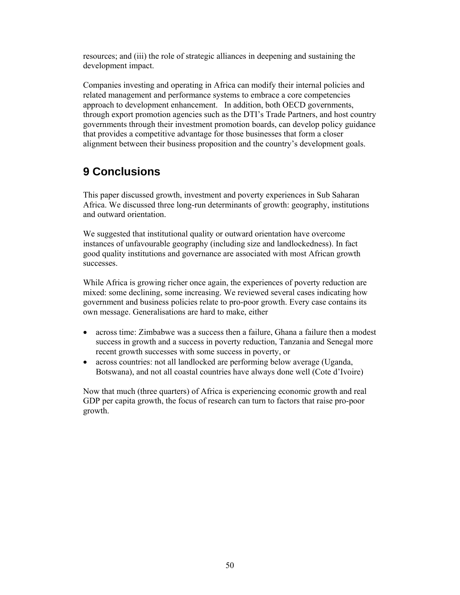resources; and (iii) the role of strategic alliances in deepening and sustaining the development impact.

Companies investing and operating in Africa can modify their internal policies and related management and performance systems to embrace a core competencies approach to development enhancement. In addition, both OECD governments, through export promotion agencies such as the DTI's Trade Partners, and host country governments through their investment promotion boards, can develop policy guidance that provides a competitive advantage for those businesses that form a closer alignment between their business proposition and the country's development goals.

# **9 Conclusions**

This paper discussed growth, investment and poverty experiences in Sub Saharan Africa. We discussed three long-run determinants of growth: geography, institutions and outward orientation.

We suggested that institutional quality or outward orientation have overcome instances of unfavourable geography (including size and landlockedness). In fact good quality institutions and governance are associated with most African growth successes.

While Africa is growing richer once again, the experiences of poverty reduction are mixed: some declining, some increasing. We reviewed several cases indicating how government and business policies relate to pro-poor growth. Every case contains its own message. Generalisations are hard to make, either

- across time: Zimbabwe was a success then a failure, Ghana a failure then a modest success in growth and a success in poverty reduction, Tanzania and Senegal more recent growth successes with some success in poverty, or
- across countries: not all landlocked are performing below average (Uganda, Botswana), and not all coastal countries have always done well (Cote d'Ivoire)

Now that much (three quarters) of Africa is experiencing economic growth and real GDP per capita growth, the focus of research can turn to factors that raise pro-poor growth.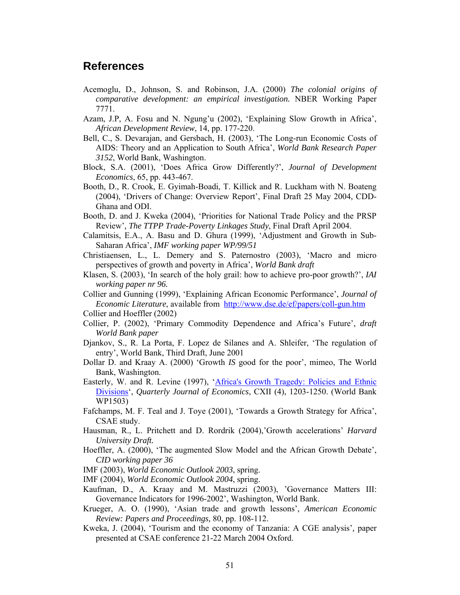### **References**

- Acemoglu, D., Johnson, S. and Robinson, J.A. (2000) *The colonial origins of comparative development: an empirical investigation.* NBER Working Paper 7771.
- Azam, J.P, A. Fosu and N. Ngung'u (2002), 'Explaining Slow Growth in Africa', *African Development Review*, 14, pp. 177-220.
- Bell, C., S. Devarajan, and Gersbach, H. (2003), 'The Long-run Economic Costs of AIDS: Theory and an Application to South Africa', *World Bank Research Paper 3152*, World Bank, Washington.
- Block, S.A. (2001), 'Does Africa Grow Differently?', *Journal of Development Economics*, 65, pp. 443-467.
- Booth, D., R. Crook, E. Gyimah-Boadi, T. Killick and R. Luckham with N. Boateng (2004), 'Drivers of Change: Overview Report', Final Draft 25 May 2004, CDD-Ghana and ODI.
- Booth, D. and J. Kweka (2004), 'Priorities for National Trade Policy and the PRSP Review'*, The TTPP Trade-Poverty Linkages Study*, Final Draft April 2004.
- Calamitsis, E.A., A. Basu and D. Ghura (1999), 'Adjustment and Growth in Sub-Saharan Africa', *IMF working paper WP/99/51*
- Christiaensen, L., L. Demery and S. Paternostro (2003), 'Macro and micro perspectives of growth and poverty in Africa', *World Bank draft*
- Klasen, S. (2003), 'In search of the holy grail: how to achieve pro-poor growth?', *IAI working paper nr 96.*
- Collier and Gunning (1999), 'Explaining African Economic Performance', *Journal of Economic Literature*, available from http://www.dse.de/ef/papers/coll-gun.htm
- Collier and Hoeffler (2002)
- Collier, P. (2002), 'Primary Commodity Dependence and Africa's Future', *draft World Bank paper*
- Djankov, S., R. La Porta, F. Lopez de Silanes and A. Shleifer, 'The regulation of entry', World Bank, Third Draft, June 2001
- Dollar D. and Kraay A. (2000) 'Growth *IS* good for the poor', mimeo, The World Bank, Washington.
- Easterly, W. and R. Levine (1997), 'Africa's Growth Tragedy: Policies and Ethnic Divisions', *Quarterly Journal of Economics*, CXII (4), 1203-1250. (World Bank WP1503)
- Fafchamps, M. F. Teal and J. Toye (2001), 'Towards a Growth Strategy for Africa', CSAE study.
- Hausman, R., L. Pritchett and D. Rordrik (2004),'Growth accelerations' *Harvard University Draft.*
- Hoeffler, A. (2000), 'The augmented Slow Model and the African Growth Debate', *CID working paper 36*
- IMF (2003), *World Economic Outlook 2003*, spring.
- IMF (2004), *World Economic Outlook 2004*, spring.
- Kaufman, D., A. Kraay and M. Mastruzzi (2003), 'Governance Matters III: Governance Indicators for 1996-2002', Washington, World Bank.
- Krueger, A. O. (1990), 'Asian trade and growth lessons', *American Economic Review: Papers and Proceedings,* 80, pp. 108-112.
- Kweka, J. (2004), 'Tourism and the economy of Tanzania: A CGE analysis'*,* paper presented at CSAE conference 21-22 March 2004 Oxford.